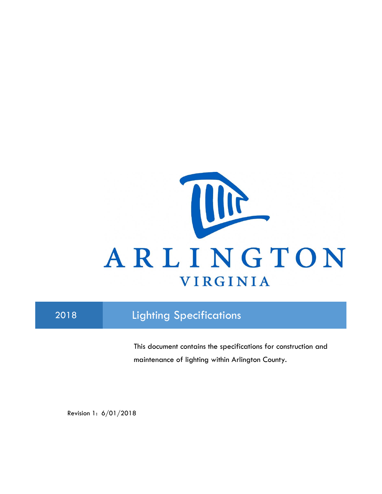

# 2018 **Lighting Specifications**

This document contains the specifications for construction and maintenance of lighting within Arlington County.

Revision 1: 6/01/2018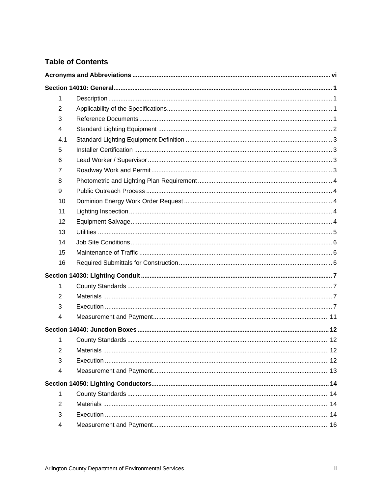## **Table of Contents**

| 1              |                  |  |
|----------------|------------------|--|
| $\overline{2}$ |                  |  |
| 3              |                  |  |
| 4              |                  |  |
| 4.1            |                  |  |
| 5              |                  |  |
| 6              |                  |  |
| $\overline{7}$ |                  |  |
| 8              |                  |  |
| 9              |                  |  |
| 10             |                  |  |
| 11             |                  |  |
| 12             |                  |  |
| 13             |                  |  |
| 14             |                  |  |
| 15             |                  |  |
| 16             |                  |  |
|                |                  |  |
| 1              |                  |  |
| 2              |                  |  |
| 3              |                  |  |
| 4              |                  |  |
|                |                  |  |
| 1              |                  |  |
| $\overline{2}$ | <b>Materials</b> |  |
| 3              |                  |  |
| 4              |                  |  |
|                |                  |  |
| 1              |                  |  |
| 2              |                  |  |
| 3              |                  |  |
| 4              |                  |  |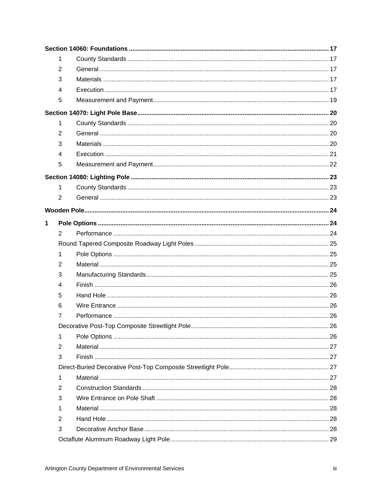|   | 1              |  |
|---|----------------|--|
|   | 2              |  |
|   | 3              |  |
|   | 4              |  |
|   | 5              |  |
|   |                |  |
|   | 1              |  |
|   | 2              |  |
|   | 3              |  |
|   | 4              |  |
|   | 5              |  |
|   |                |  |
|   | 1              |  |
|   | $\overline{2}$ |  |
|   |                |  |
| 1 |                |  |
|   | $\overline{2}$ |  |
|   |                |  |
|   | $\mathbf 1$    |  |
|   | 2              |  |
|   | 3              |  |
|   | 4              |  |
|   | 5              |  |
|   | 6              |  |
|   | 7              |  |
|   |                |  |
|   | 1              |  |
|   | 2              |  |
|   | 3              |  |
|   |                |  |
|   | 1              |  |
|   | 2              |  |
|   | 3              |  |
|   | 1              |  |
|   | $\overline{2}$ |  |
|   | 3              |  |
|   |                |  |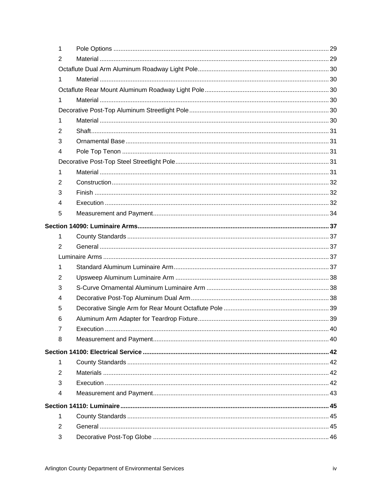| 1              |  |
|----------------|--|
| 2              |  |
|                |  |
| 1              |  |
|                |  |
| 1              |  |
|                |  |
| 1              |  |
| $\overline{2}$ |  |
| 3              |  |
| 4              |  |
|                |  |
| 1              |  |
| 2              |  |
| 3              |  |
| 4              |  |
| 5              |  |
|                |  |
| 1              |  |
| 2              |  |
|                |  |
| 1              |  |
| $\overline{2}$ |  |
| 3              |  |
| $\overline{4}$ |  |
| 5              |  |
| 6              |  |
| 7              |  |
| 8              |  |
|                |  |
| 1              |  |
| $\overline{2}$ |  |
| 3              |  |
| 4              |  |
|                |  |
| 1              |  |
| $\overline{2}$ |  |
| 3              |  |
|                |  |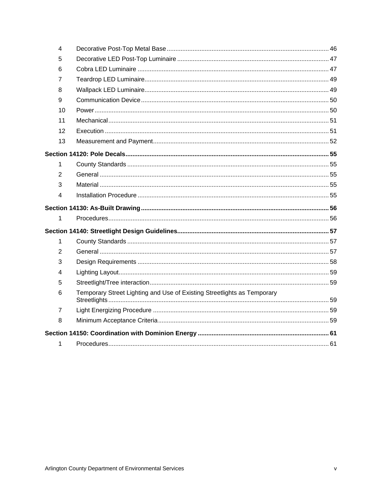| $\overline{4}$ |                                                                         |  |
|----------------|-------------------------------------------------------------------------|--|
| 5              |                                                                         |  |
| 6              |                                                                         |  |
| 7              |                                                                         |  |
| 8              |                                                                         |  |
| 9              |                                                                         |  |
| 10             |                                                                         |  |
| 11             |                                                                         |  |
| 12             |                                                                         |  |
| 13             |                                                                         |  |
|                |                                                                         |  |
| 1              |                                                                         |  |
| 2              |                                                                         |  |
| 3              |                                                                         |  |
| 4              |                                                                         |  |
|                |                                                                         |  |
| 1              |                                                                         |  |
|                |                                                                         |  |
| 1              |                                                                         |  |
| $\overline{2}$ |                                                                         |  |
| 3              |                                                                         |  |
| 4              |                                                                         |  |
| 5              |                                                                         |  |
| 6              | Temporary Street Lighting and Use of Existing Streetlights as Temporary |  |
| 7              |                                                                         |  |
| 8              |                                                                         |  |
|                |                                                                         |  |
| 1              |                                                                         |  |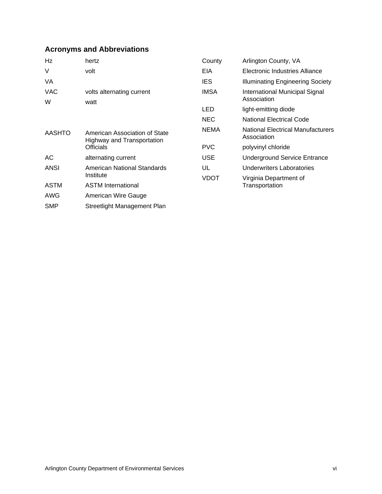## **Acronyms and Abbreviations**

| Hz              | hertz                                                       | County      | Arlington County, VA                                    |
|-----------------|-------------------------------------------------------------|-------------|---------------------------------------------------------|
| V               | volt                                                        | EIA         | Electronic Industries Alliance                          |
| VA              |                                                             | IES.        | <b>Illuminating Engineering Society</b>                 |
| <b>VAC</b><br>W | volts alternating current<br>watt                           | IMSA        | International Municipal Signal<br>Association           |
|                 |                                                             | <b>LED</b>  | light-emitting diode                                    |
|                 |                                                             | <b>NEC</b>  | <b>National Electrical Code</b>                         |
| <b>AASHTO</b>   | American Association of State<br>Highway and Transportation | <b>NEMA</b> | <b>National Electrical Manufacturers</b><br>Association |
|                 | Officials                                                   | <b>PVC</b>  | polyvinyl chloride                                      |
| АC              | alternating current                                         | <b>USE</b>  | <b>Underground Service Entrance</b>                     |
| <b>ANSI</b>     | American National Standards                                 | UL          | Underwriters Laboratories                               |
|                 | Institute                                                   | VDOT        | Virginia Department of                                  |
| <b>ASTM</b>     | <b>ASTM International</b>                                   |             | Transportation                                          |
| AWG             | American Wire Gauge                                         |             |                                                         |
| <b>SMP</b>      | Streetlight Management Plan                                 |             |                                                         |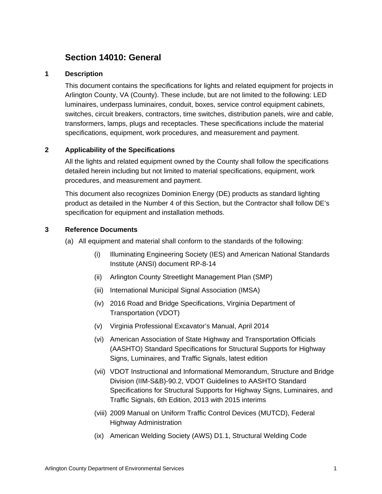## **Section 14010: General**

## **1 Description**

This document contains the specifications for lights and related equipment for projects in Arlington County, VA (County). These include, but are not limited to the following: LED luminaires, underpass luminaires, conduit, boxes, service control equipment cabinets, switches, circuit breakers, contractors, time switches, distribution panels, wire and cable, transformers, lamps, plugs and receptacles. These specifications include the material specifications, equipment, work procedures, and measurement and payment.

## **2 Applicability of the Specifications**

All the lights and related equipment owned by the County shall follow the specifications detailed herein including but not limited to material specifications, equipment, work procedures, and measurement and payment.

This document also recognizes Dominion Energy (DE) products as standard lighting product as detailed in the Number 4 of this Section, but the Contractor shall follow DE's specification for equipment and installation methods.

## **3 Reference Documents**

(a) All equipment and material shall conform to the standards of the following:

- (i) Illuminating Engineering Society (IES) and American National Standards Institute (ANSI) document RP-8-14
- (ii) Arlington County Streetlight Management Plan (SMP)
- (iii) International Municipal Signal Association (IMSA)
- (iv) 2016 Road and Bridge Specifications, Virginia Department of Transportation (VDOT)
- (v) Virginia Professional Excavator's Manual, April 2014
- (vi) American Association of State Highway and Transportation Officials (AASHTO) Standard Specifications for Structural Supports for Highway Signs, Luminaires, and Traffic Signals, latest edition
- (vii) VDOT Instructional and Informational Memorandum, Structure and Bridge Division (IIM-S&B)-90.2, VDOT Guidelines to AASHTO Standard Specifications for Structural Supports for Highway Signs, Luminaires, and Traffic Signals, 6th Edition, 2013 with 2015 interims
- (viii) 2009 Manual on Uniform Traffic Control Devices (MUTCD), Federal Highway Administration
- (ix) American Welding Society (AWS) D1.1, Structural Welding Code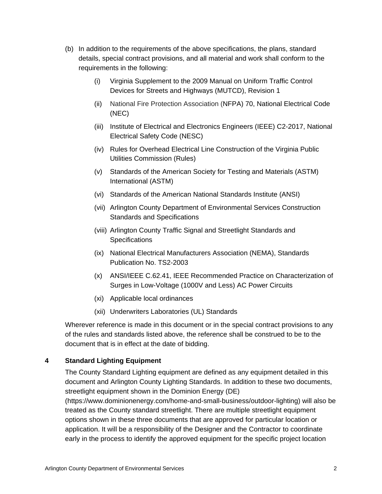- (b) In addition to the requirements of the above specifications, the plans, standard details, special contract provisions, and all material and work shall conform to the requirements in the following:
	- (i) Virginia Supplement to the 2009 Manual on Uniform Traffic Control Devices for Streets and Highways (MUTCD), Revision 1
	- (ii) National Fire Protection Association (NFPA) 70, National Electrical Code (NEC)
	- (iii) Institute of Electrical and Electronics Engineers (IEEE) C2-2017, National Electrical Safety Code (NESC)
	- (iv) Rules for Overhead Electrical Line Construction of the Virginia Public Utilities Commission (Rules)
	- (v) Standards of the American Society for Testing and Materials (ASTM) International (ASTM)
	- (vi) Standards of the American National Standards Institute (ANSI)
	- (vii) Arlington County Department of Environmental Services Construction Standards and Specifications
	- (viii) Arlington County Traffic Signal and Streetlight Standards and **Specifications**
	- (ix) National Electrical Manufacturers Association (NEMA), Standards Publication No. TS2-2003
	- (x) ANSI/IEEE C.62.41, IEEE Recommended Practice on Characterization of Surges in Low-Voltage (1000V and Less) AC Power Circuits
	- (xi) Applicable local ordinances
	- (xii) Underwriters Laboratories (UL) Standards

Wherever reference is made in this document or in the special contract provisions to any of the rules and standards listed above, the reference shall be construed to be to the document that is in effect at the date of bidding.

## **4 Standard Lighting Equipment**

The County Standard Lighting equipment are defined as any equipment detailed in this document and Arlington County Lighting Standards. In addition to these two documents, streetlight equipment shown in the Dominion Energy (DE) (https://www.dominionenergy.com/home-and-small-business/outdoor-lighting) will also be treated as the County standard streetlight. There are multiple streetlight equipment options shown in these three documents that are approved for particular location or application. It will be a responsibility of the Designer and the Contractor to coordinate early in the process to identify the approved equipment for the specific project location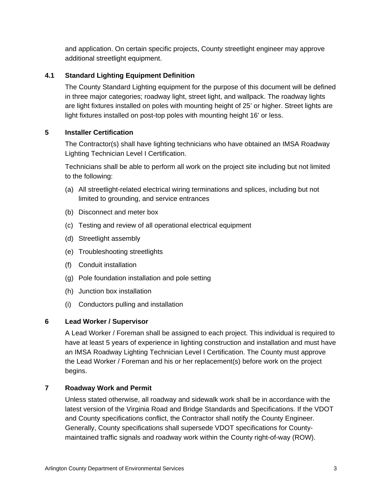and application. On certain specific projects, County streetlight engineer may approve additional streetlight equipment.

## **4.1 Standard Lighting Equipment Definition**

The County Standard Lighting equipment for the purpose of this document will be defined in three major categories; roadway light, street light, and wallpack. The roadway lights are light fixtures installed on poles with mounting height of 25' or higher. Street lights are light fixtures installed on post-top poles with mounting height 16' or less.

## **5 Installer Certification**

The Contractor(s) shall have lighting technicians who have obtained an IMSA Roadway Lighting Technician Level I Certification.

Technicians shall be able to perform all work on the project site including but not limited to the following:

- (a) All streetlight-related electrical wiring terminations and splices, including but not limited to grounding, and service entrances
- (b) Disconnect and meter box
- (c) Testing and review of all operational electrical equipment
- (d) Streetlight assembly
- (e) Troubleshooting streetlights
- (f) Conduit installation
- (g) Pole foundation installation and pole setting
- (h) Junction box installation
- (i) Conductors pulling and installation

## **6 Lead Worker / Supervisor**

A Lead Worker / Foreman shall be assigned to each project. This individual is required to have at least 5 years of experience in lighting construction and installation and must have an IMSA Roadway Lighting Technician Level I Certification. The County must approve the Lead Worker / Foreman and his or her replacement(s) before work on the project begins.

## **7 Roadway Work and Permit**

Unless stated otherwise, all roadway and sidewalk work shall be in accordance with the latest version of the Virginia Road and Bridge Standards and Specifications. If the VDOT and County specifications conflict, the Contractor shall notify the County Engineer. Generally, County specifications shall supersede VDOT specifications for Countymaintained traffic signals and roadway work within the County right-of-way (ROW).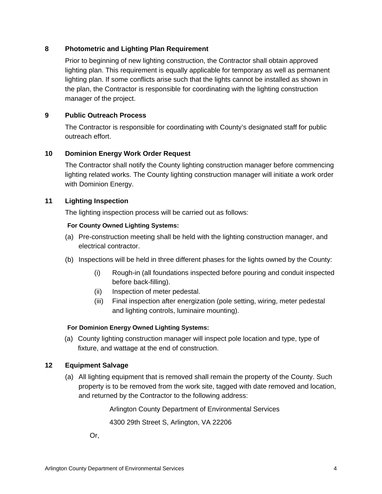## **8 Photometric and Lighting Plan Requirement**

Prior to beginning of new lighting construction, the Contractor shall obtain approved lighting plan. This requirement is equally applicable for temporary as well as permanent lighting plan. If some conflicts arise such that the lights cannot be installed as shown in the plan, the Contractor is responsible for coordinating with the lighting construction manager of the project.

### **9 Public Outreach Process**

The Contractor is responsible for coordinating with County's designated staff for public outreach effort.

### **10 Dominion Energy Work Order Request**

The Contractor shall notify the County lighting construction manager before commencing lighting related works. The County lighting construction manager will initiate a work order with Dominion Energy.

#### **11 Lighting Inspection**

The lighting inspection process will be carried out as follows:

#### **For County Owned Lighting Systems:**

- (a) Pre-construction meeting shall be held with the lighting construction manager, and electrical contractor.
- (b) Inspections will be held in three different phases for the lights owned by the County:
	- (i) Rough-in (all foundations inspected before pouring and conduit inspected before back-filling).
	- (ii) Inspection of meter pedestal.
	- (iii) Final inspection after energization (pole setting, wiring, meter pedestal and lighting controls, luminaire mounting).

#### **For Dominion Energy Owned Lighting Systems:**

(a) County lighting construction manager will inspect pole location and type, type of fixture, and wattage at the end of construction.

### **12 Equipment Salvage**

(a) All lighting equipment that is removed shall remain the property of the County. Such property is to be removed from the work site, tagged with date removed and location, and returned by the Contractor to the following address:

Arlington County Department of Environmental Services

4300 29th Street S, Arlington, VA 22206

Or,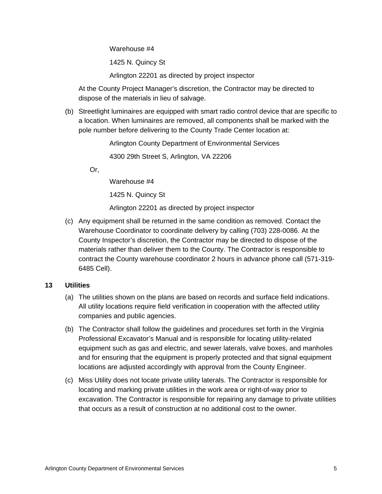Warehouse #4

1425 N. Quincy St

Arlington 22201 as directed by project inspector

At the County Project Manager's discretion, the Contractor may be directed to dispose of the materials in lieu of salvage.

(b) Streetlight luminaires are equipped with smart radio control device that are specific to a location. When luminaires are removed, all components shall be marked with the pole number before delivering to the County Trade Center location at:

Arlington County Department of Environmental Services

4300 29th Street S, Arlington, VA 22206

Or,

Warehouse #4

1425 N. Quincy St

Arlington 22201 as directed by project inspector

(c) Any equipment shall be returned in the same condition as removed. Contact the Warehouse Coordinator to coordinate delivery by calling (703) 228-0086. At the County Inspector's discretion, the Contractor may be directed to dispose of the materials rather than deliver them to the County. The Contractor is responsible to contract the County warehouse coordinator 2 hours in advance phone call (571-319- 6485 Cell).

### **13 Utilities**

- (a) The utilities shown on the plans are based on records and surface field indications. All utility locations require field verification in cooperation with the affected utility companies and public agencies.
- (b) The Contractor shall follow the guidelines and procedures set forth in the Virginia Professional Excavator's Manual and is responsible for locating utility-related equipment such as gas and electric, and sewer laterals, valve boxes, and manholes and for ensuring that the equipment is properly protected and that signal equipment locations are adjusted accordingly with approval from the County Engineer.
- (c) Miss Utility does not locate private utility laterals. The Contractor is responsible for locating and marking private utilities in the work area or right-of-way prior to excavation. The Contractor is responsible for repairing any damage to private utilities that occurs as a result of construction at no additional cost to the owner.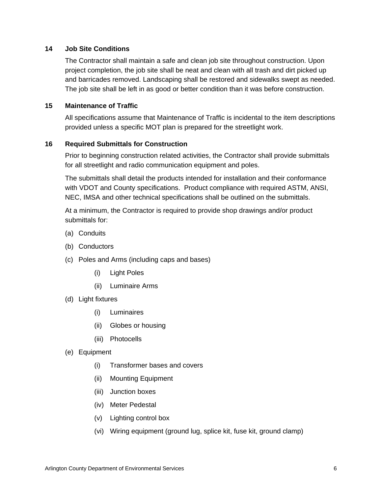#### **14 Job Site Conditions**

The Contractor shall maintain a safe and clean job site throughout construction. Upon project completion, the job site shall be neat and clean with all trash and dirt picked up and barricades removed. Landscaping shall be restored and sidewalks swept as needed. The job site shall be left in as good or better condition than it was before construction.

#### **15 Maintenance of Traffic**

All specifications assume that Maintenance of Traffic is incidental to the item descriptions provided unless a specific MOT plan is prepared for the streetlight work.

#### **16 Required Submittals for Construction**

Prior to beginning construction related activities, the Contractor shall provide submittals for all streetlight and radio communication equipment and poles.

The submittals shall detail the products intended for installation and their conformance with VDOT and County specifications. Product compliance with required ASTM, ANSI, NEC, IMSA and other technical specifications shall be outlined on the submittals.

At a minimum, the Contractor is required to provide shop drawings and/or product submittals for:

- (a) Conduits
- (b) Conductors
- (c) Poles and Arms (including caps and bases)
	- (i) Light Poles
	- (ii) Luminaire Arms
- (d) Light fixtures
	- (i) Luminaires
	- (ii) Globes or housing
	- (iii) Photocells
- (e) Equipment
	- (i) Transformer bases and covers
	- (ii) Mounting Equipment
	- (iii) Junction boxes
	- (iv) Meter Pedestal
	- (v) Lighting control box
	- (vi) Wiring equipment (ground lug, splice kit, fuse kit, ground clamp)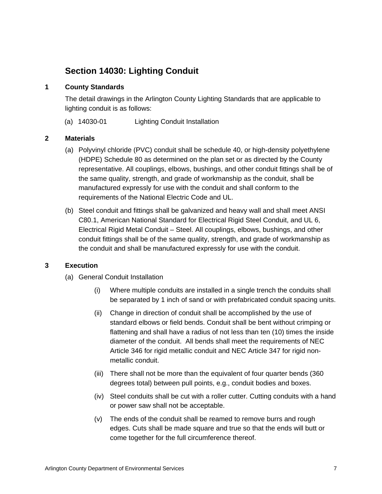# **Section 14030: Lighting Conduit**

### **1 County Standards**

The detail drawings in the Arlington County Lighting Standards that are applicable to lighting conduit is as follows:

(a) 14030-01 Lighting Conduit Installation

#### **2 Materials**

- (a) Polyvinyl chloride (PVC) conduit shall be schedule 40, or high-density polyethylene (HDPE) Schedule 80 as determined on the plan set or as directed by the County representative. All couplings, elbows, bushings, and other conduit fittings shall be of the same quality, strength, and grade of workmanship as the conduit, shall be manufactured expressly for use with the conduit and shall conform to the requirements of the National Electric Code and UL.
- (b) Steel conduit and fittings shall be galvanized and heavy wall and shall meet ANSI C80.1, American National Standard for Electrical Rigid Steel Conduit, and UL 6, Electrical Rigid Metal Conduit – Steel. All couplings, elbows, bushings, and other conduit fittings shall be of the same quality, strength, and grade of workmanship as the conduit and shall be manufactured expressly for use with the conduit.

### **3 Execution**

- (a) General Conduit Installation
	- (i) Where multiple conduits are installed in a single trench the conduits shall be separated by 1 inch of sand or with prefabricated conduit spacing units.
	- (ii) Change in direction of conduit shall be accomplished by the use of standard elbows or field bends. Conduit shall be bent without crimping or flattening and shall have a radius of not less than ten (10) times the inside diameter of the conduit. All bends shall meet the requirements of NEC Article 346 for rigid metallic conduit and NEC Article 347 for rigid nonmetallic conduit.
	- (iii) There shall not be more than the equivalent of four quarter bends (360 degrees total) between pull points, e.g., conduit bodies and boxes.
	- (iv) Steel conduits shall be cut with a roller cutter. Cutting conduits with a hand or power saw shall not be acceptable.
	- (v) The ends of the conduit shall be reamed to remove burrs and rough edges. Cuts shall be made square and true so that the ends will butt or come together for the full circumference thereof.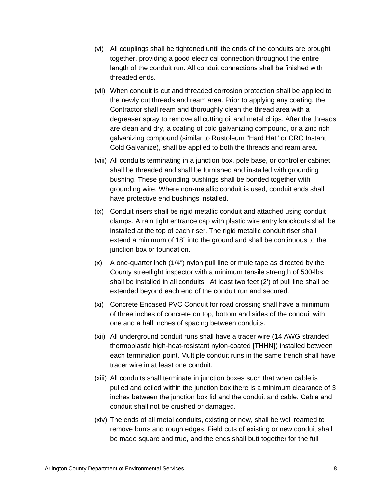- (vi) All couplings shall be tightened until the ends of the conduits are brought together, providing a good electrical connection throughout the entire length of the conduit run. All conduit connections shall be finished with threaded ends.
- (vii) When conduit is cut and threaded corrosion protection shall be applied to the newly cut threads and ream area. Prior to applying any coating, the Contractor shall ream and thoroughly clean the thread area with a degreaser spray to remove all cutting oil and metal chips. After the threads are clean and dry, a coating of cold galvanizing compound, or a zinc rich galvanizing compound (similar to Rustoleum "Hard Hat" or CRC Instant Cold Galvanize), shall be applied to both the threads and ream area.
- (viii) All conduits terminating in a junction box, pole base, or controller cabinet shall be threaded and shall be furnished and installed with grounding bushing. These grounding bushings shall be bonded together with grounding wire. Where non-metallic conduit is used, conduit ends shall have protective end bushings installed.
- (ix) Conduit risers shall be rigid metallic conduit and attached using conduit clamps. A rain tight entrance cap with plastic wire entry knockouts shall be installed at the top of each riser. The rigid metallic conduit riser shall extend a minimum of 18" into the ground and shall be continuous to the junction box or foundation.
- (x) A one-quarter inch (1/4") nylon pull line or mule tape as directed by the County streetlight inspector with a minimum tensile strength of 500-lbs. shall be installed in all conduits. At least two feet (2') of pull line shall be extended beyond each end of the conduit run and secured.
- (xi) Concrete Encased PVC Conduit for road crossing shall have a minimum of three inches of concrete on top, bottom and sides of the conduit with one and a half inches of spacing between conduits.
- (xii) All underground conduit runs shall have a tracer wire (14 AWG stranded thermoplastic high-heat-resistant nylon-coated [THHN]) installed between each termination point. Multiple conduit runs in the same trench shall have tracer wire in at least one conduit.
- (xiii) All conduits shall terminate in junction boxes such that when cable is pulled and coiled within the junction box there is a minimum clearance of 3 inches between the junction box lid and the conduit and cable. Cable and conduit shall not be crushed or damaged.
- (xiv) The ends of all metal conduits, existing or new, shall be well reamed to remove burrs and rough edges. Field cuts of existing or new conduit shall be made square and true, and the ends shall butt together for the full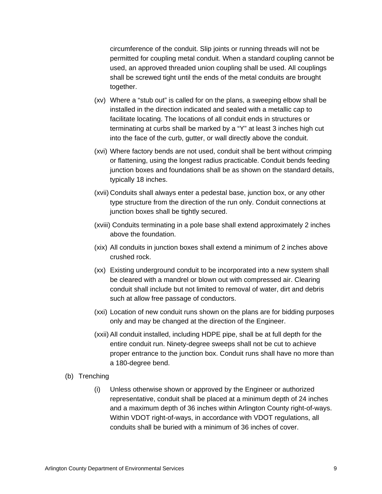circumference of the conduit. Slip joints or running threads will not be permitted for coupling metal conduit. When a standard coupling cannot be used, an approved threaded union coupling shall be used. All couplings shall be screwed tight until the ends of the metal conduits are brought together.

- (xv) Where a "stub out" is called for on the plans, a sweeping elbow shall be installed in the direction indicated and sealed with a metallic cap to facilitate locating. The locations of all conduit ends in structures or terminating at curbs shall be marked by a "Y" at least 3 inches high cut into the face of the curb, gutter, or wall directly above the conduit.
- (xvi) Where factory bends are not used, conduit shall be bent without crimping or flattening, using the longest radius practicable. Conduit bends feeding junction boxes and foundations shall be as shown on the standard details, typically 18 inches.
- (xvii) Conduits shall always enter a pedestal base, junction box, or any other type structure from the direction of the run only. Conduit connections at junction boxes shall be tightly secured.
- (xviii) Conduits terminating in a pole base shall extend approximately 2 inches above the foundation.
- (xix) All conduits in junction boxes shall extend a minimum of 2 inches above crushed rock.
- (xx) Existing underground conduit to be incorporated into a new system shall be cleared with a mandrel or blown out with compressed air. Clearing conduit shall include but not limited to removal of water, dirt and debris such at allow free passage of conductors.
- (xxi) Location of new conduit runs shown on the plans are for bidding purposes only and may be changed at the direction of the Engineer.
- (xxii) All conduit installed, including HDPE pipe, shall be at full depth for the entire conduit run. Ninety-degree sweeps shall not be cut to achieve proper entrance to the junction box. Conduit runs shall have no more than a 180-degree bend.
- (b) Trenching
	- (i) Unless otherwise shown or approved by the Engineer or authorized representative, conduit shall be placed at a minimum depth of 24 inches and a maximum depth of 36 inches within Arlington County right-of-ways. Within VDOT right-of-ways, in accordance with VDOT regulations, all conduits shall be buried with a minimum of 36 inches of cover.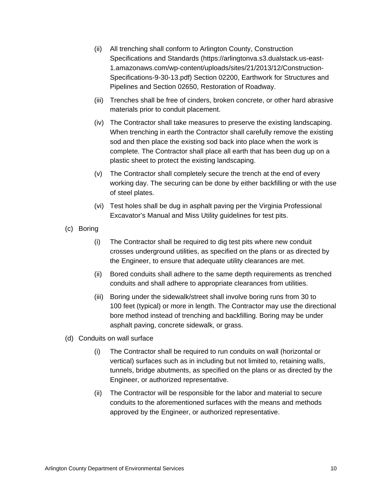- (ii) All trenching shall conform to Arlington County, Construction Specifications and Standards (https://arlingtonva.s3.dualstack.us-east-1.amazonaws.com/wp-content/uploads/sites/21/2013/12/Construction-Specifications-9-30-13.pdf) Section 02200, Earthwork for Structures and Pipelines and Section 02650, Restoration of Roadway.
- (iii) Trenches shall be free of cinders, broken concrete, or other hard abrasive materials prior to conduit placement.
- (iv) The Contractor shall take measures to preserve the existing landscaping. When trenching in earth the Contractor shall carefully remove the existing sod and then place the existing sod back into place when the work is complete. The Contractor shall place all earth that has been dug up on a plastic sheet to protect the existing landscaping.
- (v) The Contractor shall completely secure the trench at the end of every working day. The securing can be done by either backfilling or with the use of steel plates.
- (vi) Test holes shall be dug in asphalt paving per the Virginia Professional Excavator's Manual and Miss Utility guidelines for test pits.
- (c) Boring
	- (i) The Contractor shall be required to dig test pits where new conduit crosses underground utilities, as specified on the plans or as directed by the Engineer, to ensure that adequate utility clearances are met.
	- (ii) Bored conduits shall adhere to the same depth requirements as trenched conduits and shall adhere to appropriate clearances from utilities.
	- (iii) Boring under the sidewalk/street shall involve boring runs from 30 to 100 feet (typical) or more in length. The Contractor may use the directional bore method instead of trenching and backfilling. Boring may be under asphalt paving, concrete sidewalk, or grass.
- (d) Conduits on wall surface
	- (i) The Contractor shall be required to run conduits on wall (horizontal or vertical) surfaces such as in including but not limited to, retaining walls, tunnels, bridge abutments, as specified on the plans or as directed by the Engineer, or authorized representative.
	- (ii) The Contractor will be responsible for the labor and material to secure conduits to the aforementioned surfaces with the means and methods approved by the Engineer, or authorized representative.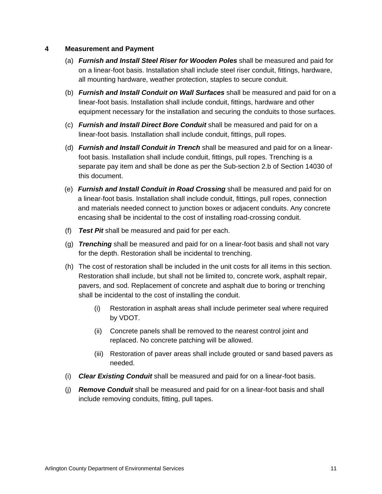#### **4 Measurement and Payment**

- (a) *Furnish and Install Steel Riser for Wooden Poles* shall be measured and paid for on a linear-foot basis. Installation shall include steel riser conduit, fittings, hardware, all mounting hardware, weather protection, staples to secure conduit.
- (b) *Furnish and Install Conduit on Wall Surfaces* shall be measured and paid for on a linear-foot basis. Installation shall include conduit, fittings, hardware and other equipment necessary for the installation and securing the conduits to those surfaces.
- (c) *Furnish and Install Direct Bore Conduit* shall be measured and paid for on a linear-foot basis. Installation shall include conduit, fittings, pull ropes.
- (d) *Furnish and Install Conduit in Trench* shall be measured and paid for on a linearfoot basis. Installation shall include conduit, fittings, pull ropes. Trenching is a separate pay item and shall be done as per the Sub-section 2.b of Section 14030 of this document.
- (e) *Furnish and Install Conduit in Road Crossing* shall be measured and paid for on a linear-foot basis. Installation shall include conduit, fittings, pull ropes, connection and materials needed connect to junction boxes or adjacent conduits. Any concrete encasing shall be incidental to the cost of installing road-crossing conduit.
- (f) *Test Pit* shall be measured and paid for per each.
- (g) *Trenching* shall be measured and paid for on a linear-foot basis and shall not vary for the depth. Restoration shall be incidental to trenching.
- (h) The cost of restoration shall be included in the unit costs for all items in this section. Restoration shall include, but shall not be limited to, concrete work, asphalt repair, pavers, and sod. Replacement of concrete and asphalt due to boring or trenching shall be incidental to the cost of installing the conduit.
	- (i) Restoration in asphalt areas shall include perimeter seal where required by VDOT.
	- (ii) Concrete panels shall be removed to the nearest control joint and replaced. No concrete patching will be allowed.
	- (iii) Restoration of paver areas shall include grouted or sand based pavers as needed.
- (i) *Clear Existing Conduit* shall be measured and paid for on a linear-foot basis.
- (j) *Remove Conduit* shall be measured and paid for on a linear-foot basis and shall include removing conduits, fitting, pull tapes.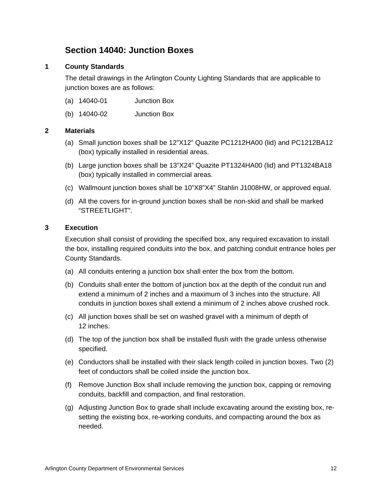## **Section 14040: Junction Boxes**

## **1 County Standards**

The detail drawings in the Arlington County Lighting Standards that are applicable to junction boxes are as follows:

- (a) 14040-01 Junction Box
- (b) 14040-02 Junction Box

#### **2 Materials**

- (a) Small junction boxes shall be 12"X12" Quazite PC1212HA00 (lid) and PC1212BA12 (box) typically installed in residential areas.
- (b) Large junction boxes shall be 13"X24" Quazite PT1324HA00 (lid) and PT1324BA18 (box) typically installed in commercial areas.
- (c) Wallmount junction boxes shall be 10"X8"X4" Stahlin J1008HW, or approved equal.
- (d) All the covers for in-ground junction boxes shall be non-skid and shall be marked "STREETLIGHT".

#### **3 Execution**

Execution shall consist of providing the specified box, any required excavation to install the box, installing required conduits into the box, and patching conduit entrance holes per County Standards.

- (a) All conduits entering a junction box shall enter the box from the bottom.
- (b) Conduits shall enter the bottom of junction box at the depth of the conduit run and extend a minimum of 2 inches and a maximum of 3 inches into the structure. All conduits in junction boxes shall extend a minimum of 2 inches above crushed rock.
- (c) All junction boxes shall be set on washed gravel with a minimum of depth of 12 inches.
- (d) The top of the junction box shall be installed flush with the grade unless otherwise specified.
- (e) Conductors shall be installed with their slack length coiled in junction boxes. Two (2) feet of conductors shall be coiled inside the junction box.
- (f) Remove Junction Box shall include removing the junction box, capping or removing conduits, backfill and compaction, and final restoration.
- (g) Adjusting Junction Box to grade shall include excavating around the existing box, resetting the existing box, re-working conduits, and compacting around the box as needed.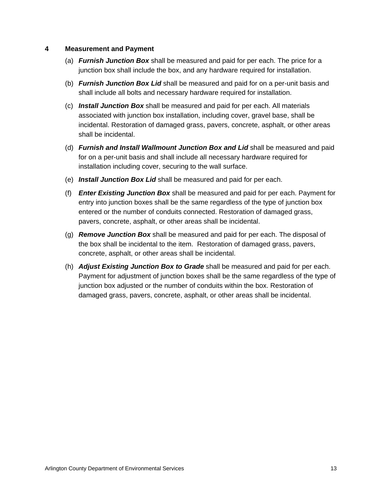#### **4 Measurement and Payment**

- (a) *Furnish Junction Box* shall be measured and paid for per each. The price for a junction box shall include the box, and any hardware required for installation.
- (b) *Furnish Junction Box Lid* shall be measured and paid for on a per-unit basis and shall include all bolts and necessary hardware required for installation.
- (c) *Install Junction Box* shall be measured and paid for per each. All materials associated with junction box installation, including cover, gravel base, shall be incidental. Restoration of damaged grass, pavers, concrete, asphalt, or other areas shall be incidental.
- (d) *Furnish and Install Wallmount Junction Box and Lid* shall be measured and paid for on a per-unit basis and shall include all necessary hardware required for installation including cover, securing to the wall surface.
- (e) *Install Junction Box Lid* shall be measured and paid for per each.
- (f) *Enter Existing Junction Box* shall be measured and paid for per each. Payment for entry into junction boxes shall be the same regardless of the type of junction box entered or the number of conduits connected. Restoration of damaged grass, pavers, concrete, asphalt, or other areas shall be incidental.
- (g) *Remove Junction Box* shall be measured and paid for per each. The disposal of the box shall be incidental to the item. Restoration of damaged grass, pavers, concrete, asphalt, or other areas shall be incidental.
- (h) *Adjust Existing Junction Box to Grade* shall be measured and paid for per each. Payment for adjustment of junction boxes shall be the same regardless of the type of junction box adjusted or the number of conduits within the box. Restoration of damaged grass, pavers, concrete, asphalt, or other areas shall be incidental.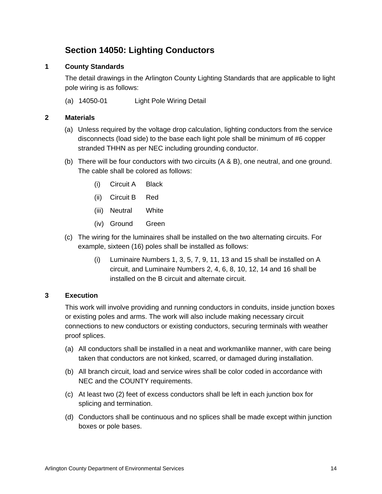# **Section 14050: Lighting Conductors**

## **1 County Standards**

The detail drawings in the Arlington County Lighting Standards that are applicable to light pole wiring is as follows:

(a) 14050-01 Light Pole Wiring Detail

## **2 Materials**

- (a) Unless required by the voltage drop calculation, lighting conductors from the service disconnects (load side) to the base each light pole shall be minimum of #6 copper stranded THHN as per NEC including grounding conductor.
- (b) There will be four conductors with two circuits (A & B), one neutral, and one ground. The cable shall be colored as follows:
	- (i) Circuit A Black
	- (ii) Circuit B Red
	- (iii) Neutral White
	- (iv) Ground Green
- (c) The wiring for the luminaires shall be installed on the two alternating circuits. For example, sixteen (16) poles shall be installed as follows:
	- (i) Luminaire Numbers 1, 3, 5, 7, 9, 11, 13 and 15 shall be installed on A circuit, and Luminaire Numbers 2, 4, 6, 8, 10, 12, 14 and 16 shall be installed on the B circuit and alternate circuit.

### **3 Execution**

This work will involve providing and running conductors in conduits, inside junction boxes or existing poles and arms. The work will also include making necessary circuit connections to new conductors or existing conductors, securing terminals with weather proof splices.

- (a) All conductors shall be installed in a neat and workmanlike manner, with care being taken that conductors are not kinked, scarred, or damaged during installation.
- (b) All branch circuit, load and service wires shall be color coded in accordance with NEC and the COUNTY requirements.
- (c) At least two (2) feet of excess conductors shall be left in each junction box for splicing and termination.
- (d) Conductors shall be continuous and no splices shall be made except within junction boxes or pole bases.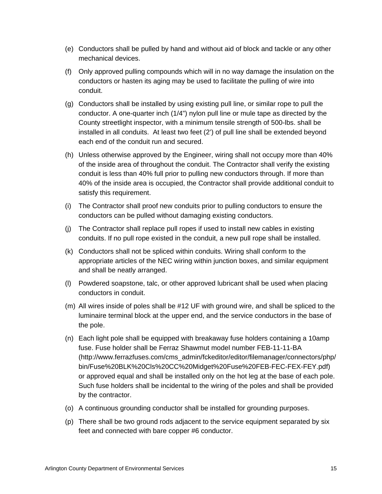- (e) Conductors shall be pulled by hand and without aid of block and tackle or any other mechanical devices.
- (f) Only approved pulling compounds which will in no way damage the insulation on the conductors or hasten its aging may be used to facilitate the pulling of wire into conduit.
- (g) Conductors shall be installed by using existing pull line, or similar rope to pull the conductor. A one-quarter inch (1/4") nylon pull line or mule tape as directed by the County streetlight inspector, with a minimum tensile strength of 500-lbs. shall be installed in all conduits. At least two feet (2') of pull line shall be extended beyond each end of the conduit run and secured.
- (h) Unless otherwise approved by the Engineer, wiring shall not occupy more than 40% of the inside area of throughout the conduit. The Contractor shall verify the existing conduit is less than 40% full prior to pulling new conductors through. If more than 40% of the inside area is occupied, the Contractor shall provide additional conduit to satisfy this requirement.
- (i) The Contractor shall proof new conduits prior to pulling conductors to ensure the conductors can be pulled without damaging existing conductors.
- (j) The Contractor shall replace pull ropes if used to install new cables in existing conduits. If no pull rope existed in the conduit, a new pull rope shall be installed.
- (k) Conductors shall not be spliced within conduits. Wiring shall conform to the appropriate articles of the NEC wiring within junction boxes, and similar equipment and shall be neatly arranged.
- (l) Powdered soapstone, talc, or other approved lubricant shall be used when placing conductors in conduit.
- (m) All wires inside of poles shall be #12 UF with ground wire, and shall be spliced to the luminaire terminal block at the upper end, and the service conductors in the base of the pole.
- (n) Each light pole shall be equipped with breakaway fuse holders containing a 10amp fuse. Fuse holder shall be Ferraz Shawmut model number FEB-11-11-BA (http://www.ferrazfuses.com/cms\_admin/fckeditor/editor/filemanager/connectors/php/ bin/Fuse%20BLK%20Cls%20CC%20Midget%20Fuse%20FEB-FEC-FEX-FEY.pdf) or approved equal and shall be installed only on the hot leg at the base of each pole. Such fuse holders shall be incidental to the wiring of the poles and shall be provided by the contractor.
- (o) A continuous grounding conductor shall be installed for grounding purposes.
- (p) There shall be two ground rods adjacent to the service equipment separated by six feet and connected with bare copper #6 conductor.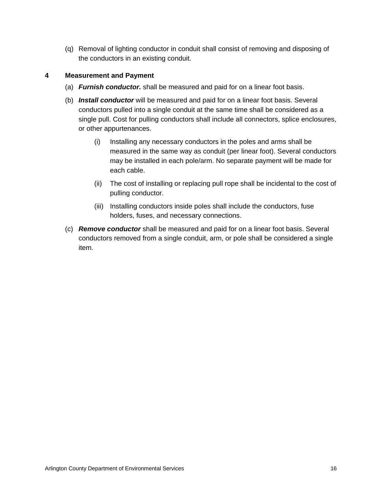(q) Removal of lighting conductor in conduit shall consist of removing and disposing of the conductors in an existing conduit.

## **4 Measurement and Payment**

- (a) *Furnish conductor.* shall be measured and paid for on a linear foot basis.
- (b) *Install conductor* will be measured and paid for on a linear foot basis. Several conductors pulled into a single conduit at the same time shall be considered as a single pull. Cost for pulling conductors shall include all connectors, splice enclosures, or other appurtenances.
	- (i) Installing any necessary conductors in the poles and arms shall be measured in the same way as conduit (per linear foot). Several conductors may be installed in each pole/arm. No separate payment will be made for each cable.
	- (ii) The cost of installing or replacing pull rope shall be incidental to the cost of pulling conductor.
	- (iii) Installing conductors inside poles shall include the conductors, fuse holders, fuses, and necessary connections.
- (c) *Remove conductor* shall be measured and paid for on a linear foot basis. Several conductors removed from a single conduit, arm, or pole shall be considered a single item.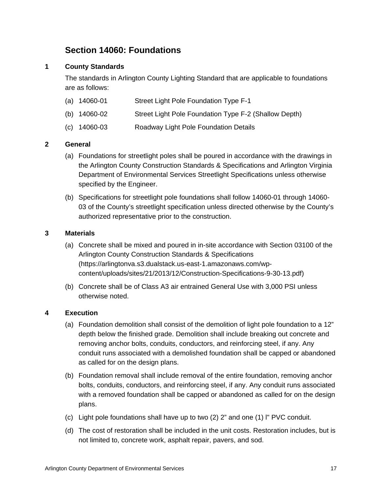# **Section 14060: Foundations**

## **1 County Standards**

The standards in Arlington County Lighting Standard that are applicable to foundations are as follows:

| $(a)$ 14060-01   | Street Light Pole Foundation Type F-1                 |
|------------------|-------------------------------------------------------|
| (b) $14060 - 02$ | Street Light Pole Foundation Type F-2 (Shallow Depth) |
| $(c)$ 14060-03   | Roadway Light Pole Foundation Details                 |

### **2 General**

- (a) Foundations for streetlight poles shall be poured in accordance with the drawings in the Arlington County Construction Standards & Specifications and Arlington Virginia Department of Environmental Services Streetlight Specifications unless otherwise specified by the Engineer.
- (b) Specifications for streetlight pole foundations shall follow 14060-01 through 14060- 03 of the County's streetlight specification unless directed otherwise by the County's authorized representative prior to the construction.

### **3 Materials**

- (a) Concrete shall be mixed and poured in in-site accordance with Section 03100 of the Arlington County Construction Standards & Specifications (https://arlingtonva.s3.dualstack.us-east-1.amazonaws.com/wpcontent/uploads/sites/21/2013/12/Construction-Specifications-9-30-13.pdf)
- (b) Concrete shall be of Class A3 air entrained General Use with 3,000 PSI unless otherwise noted.

## **4 Execution**

- (a) Foundation demolition shall consist of the demolition of light pole foundation to a 12" depth below the finished grade. Demolition shall include breaking out concrete and removing anchor bolts, conduits, conductors, and reinforcing steel, if any. Any conduit runs associated with a demolished foundation shall be capped or abandoned as called for on the design plans.
- (b) Foundation removal shall include removal of the entire foundation, removing anchor bolts, conduits, conductors, and reinforcing steel, if any. Any conduit runs associated with a removed foundation shall be capped or abandoned as called for on the design plans.
- (c) Light pole foundations shall have up to two (2) 2" and one (1) l" PVC conduit.
- (d) The cost of restoration shall be included in the unit costs. Restoration includes, but is not limited to, concrete work, asphalt repair, pavers, and sod.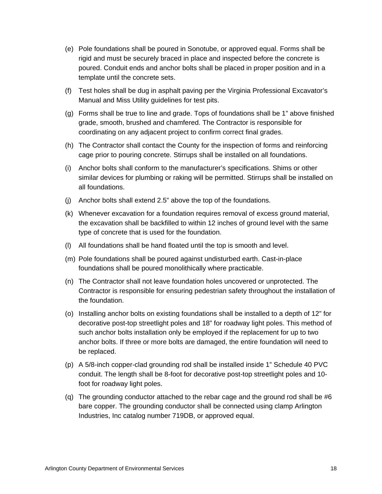- (e) Pole foundations shall be poured in Sonotube, or approved equal. Forms shall be rigid and must be securely braced in place and inspected before the concrete is poured. Conduit ends and anchor bolts shall be placed in proper position and in a template until the concrete sets.
- (f) Test holes shall be dug in asphalt paving per the Virginia Professional Excavator's Manual and Miss Utility guidelines for test pits.
- (g) Forms shall be true to line and grade. Tops of foundations shall be 1" above finished grade, smooth, brushed and chamfered. The Contractor is responsible for coordinating on any adjacent project to confirm correct final grades.
- (h) The Contractor shall contact the County for the inspection of forms and reinforcing cage prior to pouring concrete. Stirrups shall be installed on all foundations.
- (i) Anchor bolts shall conform to the manufacturer's specifications. Shims or other similar devices for plumbing or raking will be permitted. Stirrups shall be installed on all foundations.
- (j) Anchor bolts shall extend 2.5" above the top of the foundations.
- (k) Whenever excavation for a foundation requires removal of excess ground material, the excavation shall be backfilled to within 12 inches of ground level with the same type of concrete that is used for the foundation.
- (l) All foundations shall be hand floated until the top is smooth and level.
- (m) Pole foundations shall be poured against undisturbed earth. Cast-in-place foundations shall be poured monolithically where practicable.
- (n) The Contractor shall not leave foundation holes uncovered or unprotected. The Contractor is responsible for ensuring pedestrian safety throughout the installation of the foundation.
- (o) Installing anchor bolts on existing foundations shall be installed to a depth of 12" for decorative post-top streetlight poles and 18" for roadway light poles. This method of such anchor bolts installation only be employed if the replacement for up to two anchor bolts. If three or more bolts are damaged, the entire foundation will need to be replaced.
- (p) A 5/8-inch copper-clad grounding rod shall be installed inside 1" Schedule 40 PVC conduit. The length shall be 8-foot for decorative post-top streetlight poles and 10 foot for roadway light poles.
- (q) The grounding conductor attached to the rebar cage and the ground rod shall be  $#6$ bare copper. The grounding conductor shall be connected using clamp Arlington Industries, Inc catalog number 719DB, or approved equal.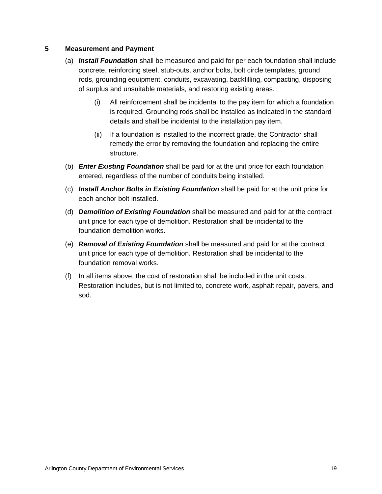### **5 Measurement and Payment**

- (a) *Install Foundation* shall be measured and paid for per each foundation shall include concrete, reinforcing steel, stub-outs, anchor bolts, bolt circle templates, ground rods, grounding equipment, conduits, excavating, backfilling, compacting, disposing of surplus and unsuitable materials, and restoring existing areas.
	- (i) All reinforcement shall be incidental to the pay item for which a foundation is required. Grounding rods shall be installed as indicated in the standard details and shall be incidental to the installation pay item.
	- (ii) If a foundation is installed to the incorrect grade, the Contractor shall remedy the error by removing the foundation and replacing the entire structure.
- (b) *Enter Existing Foundation* shall be paid for at the unit price for each foundation entered, regardless of the number of conduits being installed.
- (c) *Install Anchor Bolts in Existing Foundation* shall be paid for at the unit price for each anchor bolt installed.
- (d) *Demolition of Existing Foundation* shall be measured and paid for at the contract unit price for each type of demolition. Restoration shall be incidental to the foundation demolition works.
- (e) *Removal of Existing Foundation* shall be measured and paid for at the contract unit price for each type of demolition. Restoration shall be incidental to the foundation removal works.
- (f) In all items above, the cost of restoration shall be included in the unit costs. Restoration includes, but is not limited to, concrete work, asphalt repair, pavers, and sod.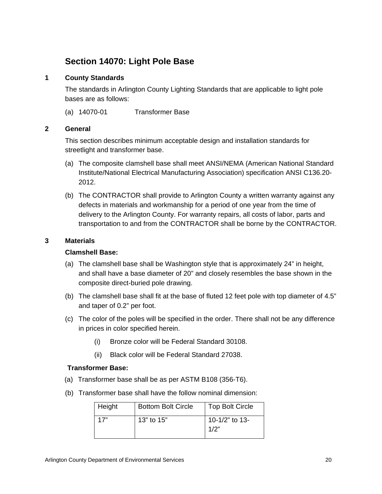## **Section 14070: Light Pole Base**

## **1 County Standards**

The standards in Arlington County Lighting Standards that are applicable to light pole bases are as follows:

(a) 14070-01 Transformer Base

### **2 General**

This section describes minimum acceptable design and installation standards for streetlight and transformer base.

- (a) The composite clamshell base shall meet ANSI/NEMA (American National Standard Institute/National Electrical Manufacturing Association) specification ANSI C136.20- 2012.
- (b) The CONTRACTOR shall provide to Arlington County a written warranty against any defects in materials and workmanship for a period of one year from the time of delivery to the Arlington County. For warranty repairs, all costs of labor, parts and transportation to and from the CONTRACTOR shall be borne by the CONTRACTOR.

### **3 Materials**

### **Clamshell Base:**

- (a) The clamshell base shall be Washington style that is approximately 24" in height, and shall have a base diameter of 20" and closely resembles the base shown in the composite direct-buried pole drawing.
- (b) The clamshell base shall fit at the base of fluted 12 feet pole with top diameter of 4.5" and taper of 0.2" per foot.
- (c) The color of the poles will be specified in the order. There shall not be any difference in prices in color specified herein.
	- (i) Bronze color will be Federal Standard 30108.
	- (ii) Black color will be Federal Standard 27038.

### **Transformer Base:**

- (a) Transformer base shall be as per ASTM B108 (356-T6).
- (b) Transformer base shall have the follow nominal dimension:

| Height | <b>Bottom Bolt Circle</b> | <b>Top Bolt Circle</b> |
|--------|---------------------------|------------------------|
| 17"    | 13" to 15"                | 10-1/2" to 13-<br>1/2" |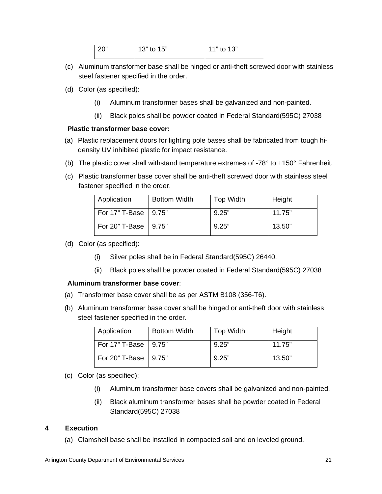| <b>20</b> " | $13"$ to $15"$ | $11"$ to 13" |
|-------------|----------------|--------------|
|             |                |              |

- (c) Aluminum transformer base shall be hinged or anti-theft screwed door with stainless steel fastener specified in the order.
- (d) Color (as specified):
	- (i) Aluminum transformer bases shall be galvanized and non-painted.
	- (ii) Black poles shall be powder coated in Federal Standard(595C) 27038

### **Plastic transformer base cover:**

- (a) Plastic replacement doors for lighting pole bases shall be fabricated from tough hidensity UV inhibited plastic for impact resistance.
- (b) The plastic cover shall withstand temperature extremes of  $-78^{\circ}$  to  $+150^{\circ}$  Fahrenheit.
- (c) Plastic transformer base cover shall be anti-theft screwed door with stainless steel fastener specified in the order.

| Application            | <b>Bottom Width</b> | <b>Top Width</b> | Height |
|------------------------|---------------------|------------------|--------|
| For 17" T-Base   9.75" |                     | 9.25"            | 11.75" |
| For 20" T-Base   9.75" |                     | 9.25"            | 13.50" |

- (d) Color (as specified):
	- (i) Silver poles shall be in Federal Standard(595C) 26440.
	- (ii) Black poles shall be powder coated in Federal Standard(595C) 27038

### **Aluminum transformer base cover**:

- (a) Transformer base cover shall be as per ASTM B108 (356-T6).
- (b) Aluminum transformer base cover shall be hinged or anti-theft door with stainless steel fastener specified in the order.

| Application            | <b>Bottom Width</b> | Top Width | Height |
|------------------------|---------------------|-----------|--------|
| For 17" T-Base   9.75" |                     | 9.25"     | 11.75" |
| For 20" T-Base   9.75" |                     | 9.25"     | 13.50" |

- (c) Color (as specified):
	- (i) Aluminum transformer base covers shall be galvanized and non-painted.
	- (ii) Black aluminum transformer bases shall be powder coated in Federal Standard(595C) 27038

### **4 Execution**

(a) Clamshell base shall be installed in compacted soil and on leveled ground.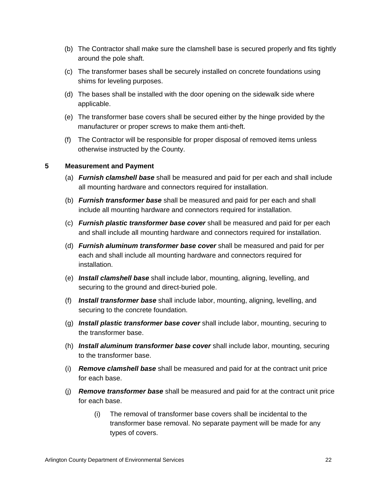- (b) The Contractor shall make sure the clamshell base is secured properly and fits tightly around the pole shaft.
- (c) The transformer bases shall be securely installed on concrete foundations using shims for leveling purposes.
- (d) The bases shall be installed with the door opening on the sidewalk side where applicable.
- (e) The transformer base covers shall be secured either by the hinge provided by the manufacturer or proper screws to make them anti-theft.
- (f) The Contractor will be responsible for proper disposal of removed items unless otherwise instructed by the County.

### **5 Measurement and Payment**

- (a) *Furnish clamshell base* shall be measured and paid for per each and shall include all mounting hardware and connectors required for installation.
- (b) *Furnish transformer base* shall be measured and paid for per each and shall include all mounting hardware and connectors required for installation.
- (c) *Furnish plastic transformer base cover* shall be measured and paid for per each and shall include all mounting hardware and connectors required for installation.
- (d) *Furnish aluminum transformer base cover* shall be measured and paid for per each and shall include all mounting hardware and connectors required for installation.
- (e) *Install clamshell base* shall include labor, mounting, aligning, levelling, and securing to the ground and direct-buried pole.
- (f) *Install transformer base* shall include labor, mounting, aligning, levelling, and securing to the concrete foundation.
- (g) *Install plastic transformer base cover* shall include labor, mounting, securing to the transformer base.
- (h) *Install aluminum transformer base cover* shall include labor, mounting, securing to the transformer base.
- (i) *Remove clamshell base* shall be measured and paid for at the contract unit price for each base.
- (j) *Remove transformer base* shall be measured and paid for at the contract unit price for each base.
	- (i) The removal of transformer base covers shall be incidental to the transformer base removal. No separate payment will be made for any types of covers.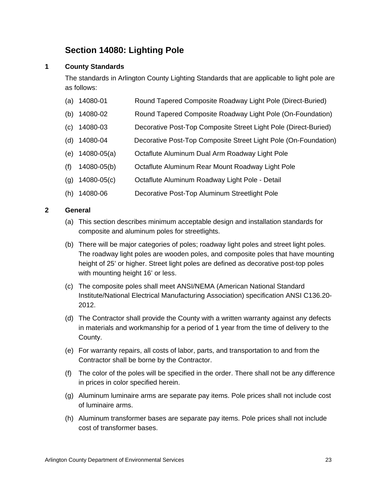# **Section 14080: Lighting Pole**

## **1 County Standards**

The standards in Arlington County Lighting Standards that are applicable to light pole are as follows:

- (a) 14080-01 Round Tapered Composite Roadway Light Pole (Direct-Buried)
- (b) 14080-02 Round Tapered Composite Roadway Light Pole (On-Foundation)
- (c) 14080-03 Decorative Post-Top Composite Street Light Pole (Direct-Buried)
- (d) 14080-04 Decorative Post-Top Composite Street Light Pole (On-Foundation)
- (e) 14080-05(a) Octaflute Aluminum Dual Arm Roadway Light Pole
- (f) 14080-05(b) Octaflute Aluminum Rear Mount Roadway Light Pole
- (g) 14080-05(c) Octaflute Aluminum Roadway Light Pole Detail
- (h) 14080-06 Decorative Post-Top Aluminum Streetlight Pole

#### **2 General**

- (a) This section describes minimum acceptable design and installation standards for composite and aluminum poles for streetlights.
- (b) There will be major categories of poles; roadway light poles and street light poles. The roadway light poles are wooden poles, and composite poles that have mounting height of 25' or higher. Street light poles are defined as decorative post-top poles with mounting height 16' or less.
- (c) The composite poles shall meet ANSI/NEMA (American National Standard Institute/National Electrical Manufacturing Association) specification ANSI C136.20- 2012.
- (d) The Contractor shall provide the County with a written warranty against any defects in materials and workmanship for a period of 1 year from the time of delivery to the County.
- (e) For warranty repairs, all costs of labor, parts, and transportation to and from the Contractor shall be borne by the Contractor.
- (f) The color of the poles will be specified in the order. There shall not be any difference in prices in color specified herein.
- (g) Aluminum luminaire arms are separate pay items. Pole prices shall not include cost of luminaire arms.
- (h) Aluminum transformer bases are separate pay items. Pole prices shall not include cost of transformer bases.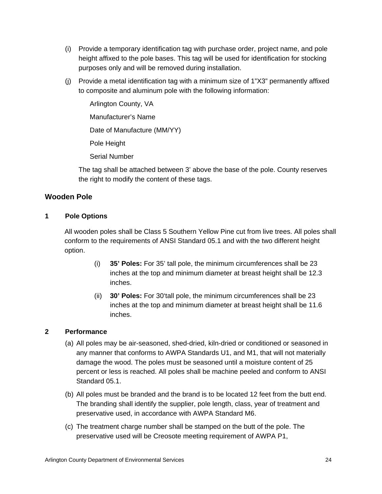- (i) Provide a temporary identification tag with purchase order, project name, and pole height affixed to the pole bases. This tag will be used for identification for stocking purposes only and will be removed during installation.
- (j) Provide a metal identification tag with a minimum size of 1"X3" permanently affixed to composite and aluminum pole with the following information:

Arlington County, VA Manufacturer's Name Date of Manufacture (MM/YY) Pole Height Serial Number

The tag shall be attached between 3' above the base of the pole. County reserves the right to modify the content of these tags.

## **Wooden Pole**

## **1 Pole Options**

All wooden poles shall be Class 5 Southern Yellow Pine cut from live trees. All poles shall conform to the requirements of ANSI Standard 05.1 and with the two different height option.

- (i) **35' Poles:** For 35' tall pole, the minimum circumferences shall be 23 inches at the top and minimum diameter at breast height shall be 12.3 inches.
- (ii) **30' Poles:** For 30'tall pole, the minimum circumferences shall be 23 inches at the top and minimum diameter at breast height shall be 11.6 inches.

## **2 Performance**

- (a) All poles may be air-seasoned, shed-dried, kiln-dried or conditioned or seasoned in any manner that conforms to AWPA Standards U1, and M1, that will not materially damage the wood. The poles must be seasoned until a moisture content of 25 percent or less is reached. All poles shall be machine peeled and conform to ANSI Standard 05.1.
- (b) All poles must be branded and the brand is to be located 12 feet from the butt end. The branding shall identify the supplier, pole length, class, year of treatment and preservative used, in accordance with AWPA Standard M6.
- (c) The treatment charge number shall be stamped on the butt of the pole. The preservative used will be Creosote meeting requirement of AWPA P1,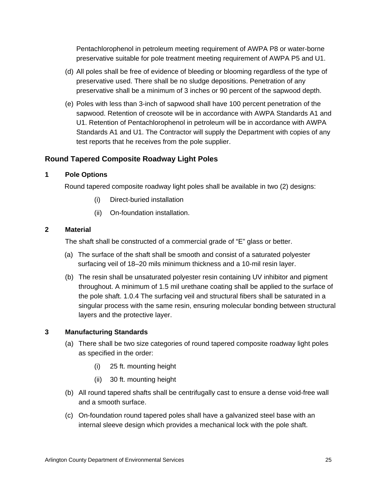Pentachlorophenol in petroleum meeting requirement of AWPA P8 or water-borne preservative suitable for pole treatment meeting requirement of AWPA P5 and U1.

- (d) All poles shall be free of evidence of bleeding or blooming regardless of the type of preservative used. There shall be no sludge depositions. Penetration of any preservative shall be a minimum of 3 inches or 90 percent of the sapwood depth.
- (e) Poles with less than 3-inch of sapwood shall have 100 percent penetration of the sapwood. Retention of creosote will be in accordance with AWPA Standards A1 and U1. Retention of Pentachlorophenol in petroleum will be in accordance with AWPA Standards A1 and U1. The Contractor will supply the Department with copies of any test reports that he receives from the pole supplier.

## **Round Tapered Composite Roadway Light Poles**

## **1 Pole Options**

Round tapered composite roadway light poles shall be available in two (2) designs:

- (i) Direct-buried installation
- (ii) On-foundation installation.

### **2 Material**

The shaft shall be constructed of a commercial grade of "E" glass or better.

- (a) The surface of the shaft shall be smooth and consist of a saturated polyester surfacing veil of 18–20 mils minimum thickness and a 10-mil resin layer.
- (b) The resin shall be unsaturated polyester resin containing UV inhibitor and pigment throughout. A minimum of 1.5 mil urethane coating shall be applied to the surface of the pole shaft. 1.0.4 The surfacing veil and structural fibers shall be saturated in a singular process with the same resin, ensuring molecular bonding between structural layers and the protective layer.

## **3 Manufacturing Standards**

- (a) There shall be two size categories of round tapered composite roadway light poles as specified in the order:
	- (i) 25 ft. mounting height
	- (ii) 30 ft. mounting height
- (b) All round tapered shafts shall be centrifugally cast to ensure a dense void-free wall and a smooth surface.
- (c) On-foundation round tapered poles shall have a galvanized steel base with an internal sleeve design which provides a mechanical lock with the pole shaft.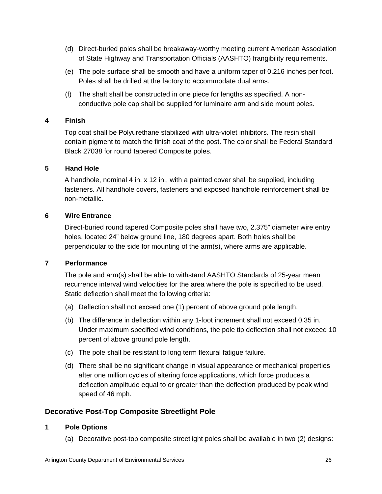- (d) Direct-buried poles shall be breakaway-worthy meeting current American Association of State Highway and Transportation Officials (AASHTO) frangibility requirements.
- (e) The pole surface shall be smooth and have a uniform taper of 0.216 inches per foot. Poles shall be drilled at the factory to accommodate dual arms.
- (f) The shaft shall be constructed in one piece for lengths as specified. A nonconductive pole cap shall be supplied for luminaire arm and side mount poles.

#### **4 Finish**

Top coat shall be Polyurethane stabilized with ultra-violet inhibitors. The resin shall contain pigment to match the finish coat of the post. The color shall be Federal Standard Black 27038 for round tapered Composite poles.

#### **5 Hand Hole**

A handhole, nominal 4 in. x 12 in., with a painted cover shall be supplied, including fasteners. All handhole covers, fasteners and exposed handhole reinforcement shall be non-metallic.

#### **6 Wire Entrance**

Direct-buried round tapered Composite poles shall have two, 2.375" diameter wire entry holes, located 24" below ground line, 180 degrees apart. Both holes shall be perpendicular to the side for mounting of the arm(s), where arms are applicable.

#### **7 Performance**

The pole and arm(s) shall be able to withstand AASHTO Standards of 25-year mean recurrence interval wind velocities for the area where the pole is specified to be used. Static deflection shall meet the following criteria:

- (a) Deflection shall not exceed one (1) percent of above ground pole length.
- (b) The difference in deflection within any 1-foot increment shall not exceed 0.35 in. Under maximum specified wind conditions, the pole tip deflection shall not exceed 10 percent of above ground pole length.
- (c) The pole shall be resistant to long term flexural fatigue failure.
- (d) There shall be no significant change in visual appearance or mechanical properties after one million cycles of altering force applications, which force produces a deflection amplitude equal to or greater than the deflection produced by peak wind speed of 46 mph.

## **Decorative Post-Top Composite Streetlight Pole**

### **1 Pole Options**

(a) Decorative post-top composite streetlight poles shall be available in two (2) designs: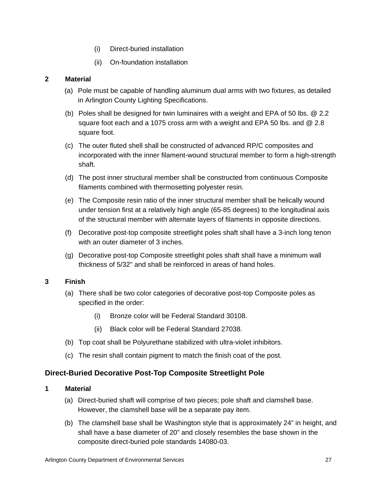- (i) Direct-buried installation
- (ii) On-foundation installation

## **2 Material**

- (a) Pole must be capable of handling aluminum dual arms with two fixtures, as detailed in Arlington County Lighting Specifications.
- (b) Poles shall be designed for twin luminaires with a weight and EPA of 50 lbs. @ 2.2 square foot each and a 1075 cross arm with a weight and EPA 50 lbs. and @ 2.8 square foot.
- (c) The outer fluted shell shall be constructed of advanced RP/C composites and incorporated with the inner filament-wound structural member to form a high-strength shaft.
- (d) The post inner structural member shall be constructed from continuous Composite filaments combined with thermosetting polyester resin.
- (e) The Composite resin ratio of the inner structural member shall be helically wound under tension first at a relatively high angle (65-85 degrees) to the longitudinal axis of the structural member with alternate layers of filaments in opposite directions.
- (f) Decorative post-top composite streetlight poles shaft shall have a 3-inch long tenon with an outer diameter of 3 inches.
- (g) Decorative post-top Composite streetlight poles shaft shall have a minimum wall thickness of 5/32" and shall be reinforced in areas of hand holes.

### **3 Finish**

- (a) There shall be two color categories of decorative post-top Composite poles as specified in the order:
	- (i) Bronze color will be Federal Standard 30108.
	- (ii) Black color will be Federal Standard 27038.
- (b) Top coat shall be Polyurethane stabilized with ultra-violet inhibitors.
- (c) The resin shall contain pigment to match the finish coat of the post.

## **Direct-Buried Decorative Post-Top Composite Streetlight Pole**

- (a) Direct-buried shaft will comprise of two pieces; pole shaft and clamshell base. However, the clamshell base will be a separate pay item.
- (b) The clamshell base shall be Washington style that is approximately 24" in height, and shall have a base diameter of 20" and closely resembles the base shown in the composite direct-buried pole standards 14080-03.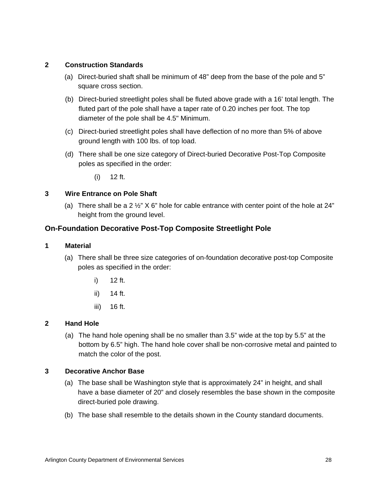## **2 Construction Standards**

- (a) Direct-buried shaft shall be minimum of 48" deep from the base of the pole and 5" square cross section.
- (b) Direct-buried streetlight poles shall be fluted above grade with a 16' total length. The fluted part of the pole shall have a taper rate of 0.20 inches per foot. The top diameter of the pole shall be 4.5" Minimum.
- (c) Direct-buried streetlight poles shall have deflection of no more than 5% of above ground length with 100 lbs. of top load.
- (d) There shall be one size category of Direct-buried Decorative Post-Top Composite poles as specified in the order:

(i) 12 ft.

## **3 Wire Entrance on Pole Shaft**

(a) There shall be a 2  $\frac{1}{2}$ " X 6" hole for cable entrance with center point of the hole at 24" height from the ground level.

## **On-Foundation Decorative Post-Top Composite Streetlight Pole**

#### **1 Material**

- (a) There shall be three size categories of on-foundation decorative post-top Composite poles as specified in the order:
	- i) 12 ft.
	- ii) 14 ft.
	- iii) 16 ft.

### **2 Hand Hole**

(a) The hand hole opening shall be no smaller than 3.5" wide at the top by 5.5" at the bottom by 6.5" high. The hand hole cover shall be non-corrosive metal and painted to match the color of the post.

### **3 Decorative Anchor Base**

- (a) The base shall be Washington style that is approximately 24" in height, and shall have a base diameter of 20" and closely resembles the base shown in the composite direct-buried pole drawing.
- (b) The base shall resemble to the details shown in the County standard documents.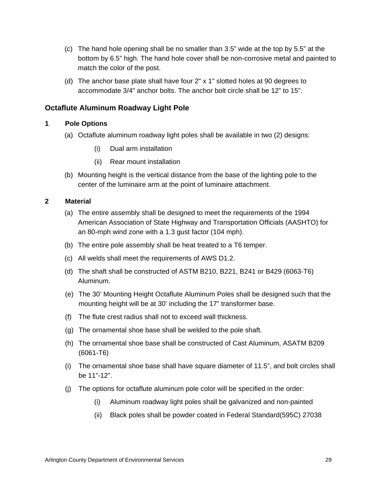- (c) The hand hole opening shall be no smaller than 3.5" wide at the top by 5.5" at the bottom by 6.5" high. The hand hole cover shall be non-corrosive metal and painted to match the color of the post.
- (d) The anchor base plate shall have four 2" x 1" slotted holes at 90 degrees to accommodate 3/4" anchor bolts. The anchor bolt circle shall be 12" to 15".

## **Octaflute Aluminum Roadway Light Pole**

## **1 Pole Options**

- (a) Octaflute aluminum roadway light poles shall be available in two (2) designs:
	- (i) Dual arm installation
	- (ii) Rear mount installation
- (b) Mounting height is the vertical distance from the base of the lighting pole to the center of the luminaire arm at the point of luminaire attachment.

- (a) The entire assembly shall be designed to meet the requirements of the 1994 American Association of State Highway and Transportation Officials (AASHTO) for an 80-mph wind zone with a 1.3 gust factor (104 mph).
- (b) The entire pole assembly shall be heat treated to a T6 temper.
- (c) All welds shall meet the requirements of AWS D1.2.
- (d) The shaft shall be constructed of ASTM B210, B221, B241 or B429 (6063-T6) Aluminum.
- (e) The 30' Mounting Height Octaflute Aluminum Poles shall be designed such that the mounting height will be at 30' including the 17" transformer base.
- (f) The flute crest radius shall not to exceed wall thickness.
- (g) The ornamental shoe base shall be welded to the pole shaft.
- (h) The ornamental shoe base shall be constructed of Cast Aluminum, ASATM B209 (6061-T6)
- (i) The ornamental shoe base shall have square diameter of 11.5", and bolt circles shall be 11"-12".
- (j) The options for octaflute aluminum pole color will be specified in the order:
	- (i) Aluminum roadway light poles shall be galvanized and non-painted
	- (ii) Black poles shall be powder coated in Federal Standard(595C) 27038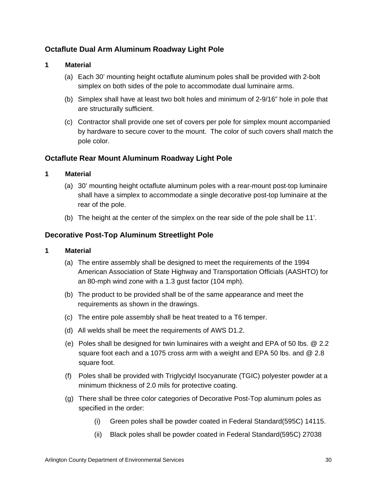## **Octaflute Dual Arm Aluminum Roadway Light Pole**

#### **1 Material**

- (a) Each 30' mounting height octaflute aluminum poles shall be provided with 2-bolt simplex on both sides of the pole to accommodate dual luminaire arms.
- (b) Simplex shall have at least two bolt holes and minimum of 2-9/16" hole in pole that are structurally sufficient.
- (c) Contractor shall provide one set of covers per pole for simplex mount accompanied by hardware to secure cover to the mount. The color of such covers shall match the pole color.

## **Octaflute Rear Mount Aluminum Roadway Light Pole**

### **1 Material**

- (a) 30' mounting height octaflute aluminum poles with a rear-mount post-top luminaire shall have a simplex to accommodate a single decorative post-top luminaire at the rear of the pole.
- (b) The height at the center of the simplex on the rear side of the pole shall be 11'.

## **Decorative Post-Top Aluminum Streetlight Pole**

- (a) The entire assembly shall be designed to meet the requirements of the 1994 American Association of State Highway and Transportation Officials (AASHTO) for an 80-mph wind zone with a 1.3 gust factor (104 mph).
- (b) The product to be provided shall be of the same appearance and meet the requirements as shown in the drawings.
- (c) The entire pole assembly shall be heat treated to a T6 temper.
- (d) All welds shall be meet the requirements of AWS D1.2.
- (e) Poles shall be designed for twin luminaires with a weight and EPA of 50 lbs. @ 2.2 square foot each and a 1075 cross arm with a weight and EPA 50 lbs. and @ 2.8 square foot.
- (f) Poles shall be provided with Triglycidyl Isocyanurate (TGIC) polyester powder at a minimum thickness of 2.0 mils for protective coating.
- (g) There shall be three color categories of Decorative Post-Top aluminum poles as specified in the order:
	- (i) Green poles shall be powder coated in Federal Standard(595C) 14115.
	- (ii) Black poles shall be powder coated in Federal Standard(595C) 27038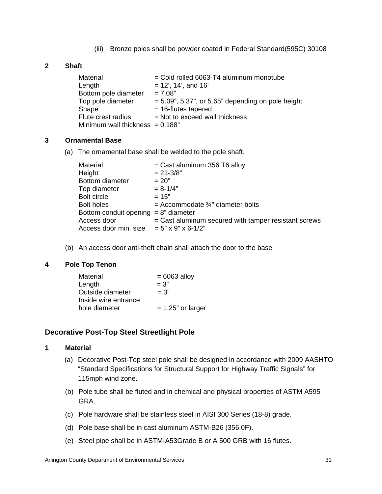(iii) Bronze poles shall be powder coated in Federal Standard(595C) 30108

## **2 Shaft**

| Material                           | $=$ Cold rolled 6063-T4 aluminum monotube            |
|------------------------------------|------------------------------------------------------|
| Length                             | $= 12'$ , 14', and 16'                               |
| Bottom pole diameter               | $= 7.08"$                                            |
| Top pole diameter                  | $= 5.09$ ", 5.37", or 5.65" depending on pole height |
| Shape                              | $= 16$ -flutes tapered                               |
| Flute crest radius                 | $=$ Not to exceed wall thickness                     |
| Minimum wall thickness $= 0.188$ " |                                                      |

#### **3 Ornamental Base**

(a) The ornamental base shall be welded to the pole shaft.

| Material                                    | = Cast aluminum 356 T6 alloy                         |
|---------------------------------------------|------------------------------------------------------|
| Height                                      | $= 21 - 3/8"$                                        |
| Bottom diameter                             | $= 20"$                                              |
| Top diameter                                | $= 8 - 1/4"$                                         |
| Bolt circle                                 | $= 15"$                                              |
| <b>Bolt holes</b>                           | = Accommodate $\frac{3}{4}$ " diameter bolts         |
| Bottom conduit opening $= 8$ " diameter     |                                                      |
| Access door                                 | = Cast aluminum secured with tamper resistant screws |
| Access door min. size $= 5$ " x 9" x 6-1/2" |                                                      |

(b) An access door anti-theft chain shall attach the door to the base

### **4 Pole Top Tenon**

| $= 6063$ alloy       |
|----------------------|
|                      |
|                      |
|                      |
| $= 1.25$ " or larger |
|                      |

### **Decorative Post-Top Steel Streetlight Pole**

- (a) Decorative Post-Top steel pole shall be designed in accordance with 2009 AASHTO "Standard Specifications for Structural Support for Highway Traffic Signals" for 115mph wind zone.
- (b) Pole tube shall be fluted and in chemical and physical properties of ASTM A595 GRA.
- (c) Pole hardware shall be stainless steel in AISI 300 Series (18-8) grade.
- (d) Pole base shall be in cast aluminum ASTM-B26 (356.0F).
- (e) Steel pipe shall be in ASTM-A53Grade B or A 500 GRB with 16 flutes.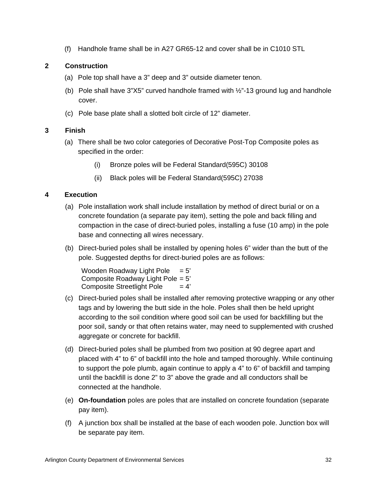(f) Handhole frame shall be in A27 GR65-12 and cover shall be in C1010 STL

## **2 Construction**

- (a) Pole top shall have a 3" deep and 3" outside diameter tenon.
- (b) Pole shall have  $3^{\prime\prime}X5^{\prime\prime}$  curved handhole framed with  $\frac{1}{2}$ -13 ground lug and handhole cover.
- (c) Pole base plate shall a slotted bolt circle of 12" diameter.

## **3 Finish**

- (a) There shall be two color categories of Decorative Post-Top Composite poles as specified in the order:
	- (i) Bronze poles will be Federal Standard(595C) 30108
	- (ii) Black poles will be Federal Standard(595C) 27038

## **4 Execution**

- (a) Pole installation work shall include installation by method of direct burial or on a concrete foundation (a separate pay item), setting the pole and back filling and compaction in the case of direct-buried poles, installing a fuse (10 amp) in the pole base and connecting all wires necessary.
- (b) Direct-buried poles shall be installed by opening holes 6" wider than the butt of the pole. Suggested depths for direct-buried poles are as follows:

Wooden Roadway Light Pole  $= 5'$ Composite Roadway Light Pole = 5' Composite Streetlight Pole  $= 4'$ 

- (c) Direct-buried poles shall be installed after removing protective wrapping or any other tags and by lowering the butt side in the hole. Poles shall then be held upright according to the soil condition where good soil can be used for backfilling but the poor soil, sandy or that often retains water, may need to supplemented with crushed aggregate or concrete for backfill.
- (d) Direct-buried poles shall be plumbed from two position at 90 degree apart and placed with 4" to 6" of backfill into the hole and tamped thoroughly. While continuing to support the pole plumb, again continue to apply a 4" to 6" of backfill and tamping until the backfill is done 2" to 3" above the grade and all conductors shall be connected at the handhole.
- (e) **On-foundation** poles are poles that are installed on concrete foundation (separate pay item).
- (f) A junction box shall be installed at the base of each wooden pole. Junction box will be separate pay item.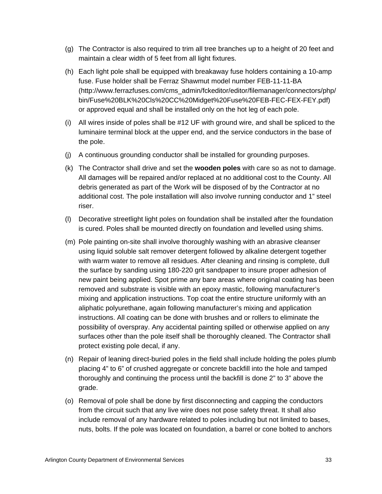- (g) The Contractor is also required to trim all tree branches up to a height of 20 feet and maintain a clear width of 5 feet from all light fixtures.
- (h) Each light pole shall be equipped with breakaway fuse holders containing a 10-amp fuse. Fuse holder shall be Ferraz Shawmut model number FEB-11-11-BA (http://www.ferrazfuses.com/cms\_admin/fckeditor/editor/filemanager/connectors/php/ bin/Fuse%20BLK%20Cls%20CC%20Midget%20Fuse%20FEB-FEC-FEX-FEY.pdf) or approved equal and shall be installed only on the hot leg of each pole.
- (i) All wires inside of poles shall be #12 UF with ground wire, and shall be spliced to the luminaire terminal block at the upper end, and the service conductors in the base of the pole.
- (j) A continuous grounding conductor shall be installed for grounding purposes.
- (k) The Contractor shall drive and set the **wooden poles** with care so as not to damage. All damages will be repaired and/or replaced at no additional cost to the County. All debris generated as part of the Work will be disposed of by the Contractor at no additional cost. The pole installation will also involve running conductor and 1" steel riser.
- (l) Decorative streetlight light poles on foundation shall be installed after the foundation is cured. Poles shall be mounted directly on foundation and levelled using shims.
- (m) Pole painting on-site shall involve thoroughly washing with an abrasive cleanser using liquid soluble salt remover detergent followed by alkaline detergent together with warm water to remove all residues. After cleaning and rinsing is complete, dull the surface by sanding using 180-220 grit sandpaper to insure proper adhesion of new paint being applied. Spot prime any bare areas where original coating has been removed and substrate is visible with an epoxy mastic, following manufacturer's mixing and application instructions. Top coat the entire structure uniformly with an aliphatic polyurethane, again following manufacturer's mixing and application instructions. All coating can be done with brushes and or rollers to eliminate the possibility of overspray. Any accidental painting spilled or otherwise applied on any surfaces other than the pole itself shall be thoroughly cleaned. The Contractor shall protect existing pole decal, if any.
- (n) Repair of leaning direct-buried poles in the field shall include holding the poles plumb placing 4" to 6" of crushed aggregate or concrete backfill into the hole and tamped thoroughly and continuing the process until the backfill is done 2" to 3" above the grade.
- (o) Removal of pole shall be done by first disconnecting and capping the conductors from the circuit such that any live wire does not pose safety threat. It shall also include removal of any hardware related to poles including but not limited to bases, nuts, bolts. If the pole was located on foundation, a barrel or cone bolted to anchors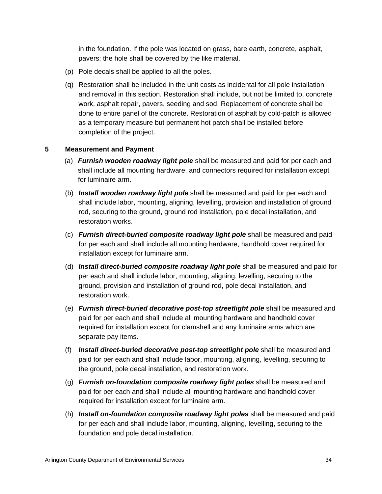in the foundation. If the pole was located on grass, bare earth, concrete, asphalt, pavers; the hole shall be covered by the like material.

- (p) Pole decals shall be applied to all the poles.
- (q) Restoration shall be included in the unit costs as incidental for all pole installation and removal in this section. Restoration shall include, but not be limited to, concrete work, asphalt repair, pavers, seeding and sod. Replacement of concrete shall be done to entire panel of the concrete. Restoration of asphalt by cold-patch is allowed as a temporary measure but permanent hot patch shall be installed before completion of the project.

## **5 Measurement and Payment**

- (a) *Furnish wooden roadway light pole* shall be measured and paid for per each and shall include all mounting hardware, and connectors required for installation except for luminaire arm.
- (b) *Install wooden roadway light pole* shall be measured and paid for per each and shall include labor, mounting, aligning, levelling, provision and installation of ground rod, securing to the ground, ground rod installation, pole decal installation, and restoration works.
- (c) *Furnish direct-buried composite roadway light pole* shall be measured and paid for per each and shall include all mounting hardware, handhold cover required for installation except for luminaire arm.
- (d) *Install direct-buried composite roadway light pole* shall be measured and paid for per each and shall include labor, mounting, aligning, levelling, securing to the ground, provision and installation of ground rod, pole decal installation, and restoration work.
- (e) *Furnish direct-buried decorative post-top streetlight pole* shall be measured and paid for per each and shall include all mounting hardware and handhold cover required for installation except for clamshell and any luminaire arms which are separate pay items.
- (f) *Install direct-buried decorative post-top streetlight pole* shall be measured and paid for per each and shall include labor, mounting, aligning, levelling, securing to the ground, pole decal installation, and restoration work.
- (g) *Furnish on-foundation composite roadway light poles* shall be measured and paid for per each and shall include all mounting hardware and handhold cover required for installation except for luminaire arm.
- (h) *Install on-foundation composite roadway light poles* shall be measured and paid for per each and shall include labor, mounting, aligning, levelling, securing to the foundation and pole decal installation.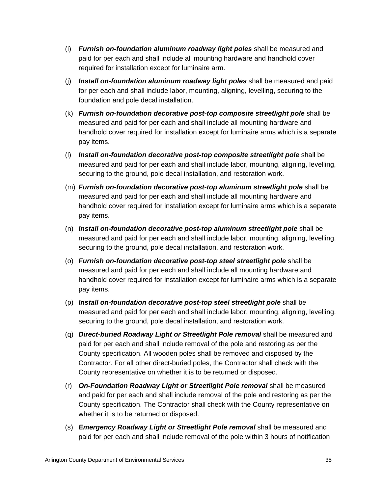- (i) *Furnish on-foundation aluminum roadway light poles* shall be measured and paid for per each and shall include all mounting hardware and handhold cover required for installation except for luminaire arm.
- (j) *Install on-foundation aluminum roadway light poles* shall be measured and paid for per each and shall include labor, mounting, aligning, levelling, securing to the foundation and pole decal installation.
- (k) *Furnish on-foundation decorative post-top composite streetlight pole* shall be measured and paid for per each and shall include all mounting hardware and handhold cover required for installation except for luminaire arms which is a separate pay items.
- (l) *Install on-foundation decorative post-top composite streetlight pole* shall be measured and paid for per each and shall include labor, mounting, aligning, levelling, securing to the ground, pole decal installation, and restoration work.
- (m) *Furnish on-foundation decorative post-top aluminum streetlight pole* shall be measured and paid for per each and shall include all mounting hardware and handhold cover required for installation except for luminaire arms which is a separate pay items.
- (n) *Install on-foundation decorative post-top aluminum streetlight pole* shall be measured and paid for per each and shall include labor, mounting, aligning, levelling, securing to the ground, pole decal installation, and restoration work.
- (o) *Furnish on-foundation decorative post-top steel streetlight pole* shall be measured and paid for per each and shall include all mounting hardware and handhold cover required for installation except for luminaire arms which is a separate pay items.
- (p) *Install on-foundation decorative post-top steel streetlight pole* shall be measured and paid for per each and shall include labor, mounting, aligning, levelling, securing to the ground, pole decal installation, and restoration work.
- (q) *Direct-buried Roadway Light or Streetlight Pole removal* shall be measured and paid for per each and shall include removal of the pole and restoring as per the County specification. All wooden poles shall be removed and disposed by the Contractor. For all other direct-buried poles, the Contractor shall check with the County representative on whether it is to be returned or disposed.
- (r) *On-Foundation Roadway Light or Streetlight Pole removal* shall be measured and paid for per each and shall include removal of the pole and restoring as per the County specification. The Contractor shall check with the County representative on whether it is to be returned or disposed.
- (s) *Emergency Roadway Light or Streetlight Pole removal* shall be measured and paid for per each and shall include removal of the pole within 3 hours of notification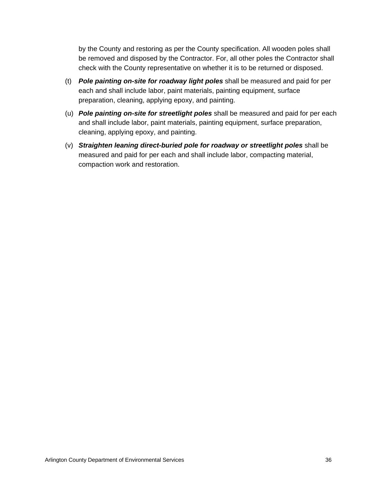by the County and restoring as per the County specification. All wooden poles shall be removed and disposed by the Contractor. For, all other poles the Contractor shall check with the County representative on whether it is to be returned or disposed.

- (t) *Pole painting on-site for roadway light poles* shall be measured and paid for per each and shall include labor, paint materials, painting equipment, surface preparation, cleaning, applying epoxy, and painting.
- (u) *Pole painting on-site for streetlight poles* shall be measured and paid for per each and shall include labor, paint materials, painting equipment, surface preparation, cleaning, applying epoxy, and painting.
- (v) *Straighten leaning direct-buried pole for roadway or streetlight poles* shall be measured and paid for per each and shall include labor, compacting material, compaction work and restoration.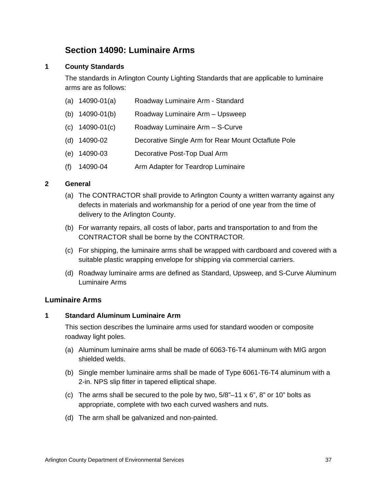## **Section 14090: Luminaire Arms**

## **1 County Standards**

The standards in Arlington County Lighting Standards that are applicable to luminaire arms are as follows:

- (a) 14090-01(a) Roadway Luminaire Arm Standard
- (b) 14090-01(b) Roadway Luminaire Arm Upsweep
- (c) 14090-01(c) Roadway Luminaire Arm S-Curve
- (d) 14090-02 Decorative Single Arm for Rear Mount Octaflute Pole
- (e) 14090-03 Decorative Post-Top Dual Arm
- (f) 14090-04 Arm Adapter for Teardrop Luminaire

### **2 General**

- (a) The CONTRACTOR shall provide to Arlington County a written warranty against any defects in materials and workmanship for a period of one year from the time of delivery to the Arlington County.
- (b) For warranty repairs, all costs of labor, parts and transportation to and from the CONTRACTOR shall be borne by the CONTRACTOR.
- (c) For shipping, the luminaire arms shall be wrapped with cardboard and covered with a suitable plastic wrapping envelope for shipping via commercial carriers.
- (d) Roadway luminaire arms are defined as Standard, Upsweep, and S-Curve Aluminum Luminaire Arms

### **Luminaire Arms**

### **1 Standard Aluminum Luminaire Arm**

This section describes the luminaire arms used for standard wooden or composite roadway light poles.

- (a) Aluminum luminaire arms shall be made of 6063-T6-T4 aluminum with MIG argon shielded welds.
- (b) Single member luminaire arms shall be made of Type 6061-T6-T4 aluminum with a 2-in. NPS slip fitter in tapered elliptical shape.
- (c) The arms shall be secured to the pole by two,  $5/8$ "–11 x 6", 8" or 10" bolts as appropriate, complete with two each curved washers and nuts.
- (d) The arm shall be galvanized and non-painted.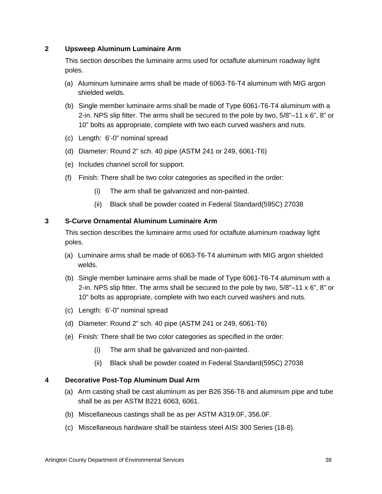### **2 Upsweep Aluminum Luminaire Arm**

This section describes the luminaire arms used for octaflute aluminum roadway light poles.

- (a) Aluminum luminaire arms shall be made of 6063-T6-T4 aluminum with MIG argon shielded welds.
- (b) Single member luminaire arms shall be made of Type 6061-T6-T4 aluminum with a 2-in. NPS slip fitter. The arms shall be secured to the pole by two,  $5/8$ "–11 x  $6$ ",  $8$ " or 10" bolts as appropriate, complete with two each curved washers and nuts.
- (c) Length: 6'-0" nominal spread
- (d) Diameter: Round 2" sch. 40 pipe (ASTM 241 or 249, 6061-T6)
- (e) Includes channel scroll for support.
- (f) Finish: There shall be two color categories as specified in the order:
	- (i) The arm shall be galvanized and non-painted.
	- (ii) Black shall be powder coated in Federal Standard(595C) 27038

#### **3 S-Curve Ornamental Aluminum Luminaire Arm**

This section describes the luminaire arms used for octaflute aluminum roadway light poles.

- (a) Luminaire arms shall be made of 6063-T6-T4 aluminum with MIG argon shielded welds.
- (b) Single member luminaire arms shall be made of Type 6061-T6-T4 aluminum with a 2-in. NPS slip fitter. The arms shall be secured to the pole by two,  $5/8$ " $-11 \times 6$ ", 8" or 10" bolts as appropriate, complete with two each curved washers and nuts.
- (c) Length: 6'-0" nominal spread
- (d) Diameter: Round 2" sch. 40 pipe (ASTM 241 or 249, 6061-T6)
- (e) Finish: There shall be two color categories as specified in the order:
	- (i) The arm shall be galvanized and non-painted.
	- (ii) Black shall be powder coated in Federal Standard(595C) 27038

#### **4 Decorative Post-Top Aluminum Dual Arm**

- (a) Arm casting shall be cast aluminum as per B26 356-T6 and aluminum pipe and tube shall be as per ASTM B221 6063, 6061.
- (b) Miscellaneous castings shall be as per ASTM A319.0F, 356.0F.
- (c) Miscellaneous hardware shall be stainless steel AISI 300 Series (18-8).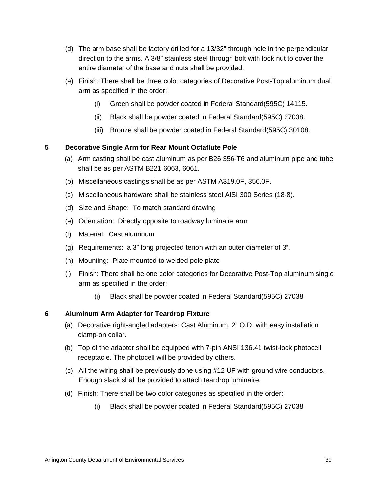- (d) The arm base shall be factory drilled for a 13/32" through hole in the perpendicular direction to the arms. A 3/8" stainless steel through bolt with lock nut to cover the entire diameter of the base and nuts shall be provided.
- (e) Finish: There shall be three color categories of Decorative Post-Top aluminum dual arm as specified in the order:
	- (i) Green shall be powder coated in Federal Standard(595C) 14115.
	- (ii) Black shall be powder coated in Federal Standard(595C) 27038.
	- (iii) Bronze shall be powder coated in Federal Standard(595C) 30108.

## **5 Decorative Single Arm for Rear Mount Octaflute Pole**

- (a) Arm casting shall be cast aluminum as per B26 356-T6 and aluminum pipe and tube shall be as per ASTM B221 6063, 6061.
- (b) Miscellaneous castings shall be as per ASTM A319.0F, 356.0F.
- (c) Miscellaneous hardware shall be stainless steel AISI 300 Series (18-8).
- (d) Size and Shape: To match standard drawing
- (e) Orientation: Directly opposite to roadway luminaire arm
- (f) Material: Cast aluminum
- (g) Requirements: a 3" long projected tenon with an outer diameter of 3".
- (h) Mounting: Plate mounted to welded pole plate
- (i) Finish: There shall be one color categories for Decorative Post-Top aluminum single arm as specified in the order:
	- (i) Black shall be powder coated in Federal Standard(595C) 27038

## **6 Aluminum Arm Adapter for Teardrop Fixture**

- (a) Decorative right-angled adapters: Cast Aluminum, 2" O.D. with easy installation clamp-on collar.
- (b) Top of the adapter shall be equipped with 7-pin ANSI 136.41 twist-lock photocell receptacle. The photocell will be provided by others.
- (c) All the wiring shall be previously done using #12 UF with ground wire conductors. Enough slack shall be provided to attach teardrop luminaire.
- (d) Finish: There shall be two color categories as specified in the order:
	- (i) Black shall be powder coated in Federal Standard(595C) 27038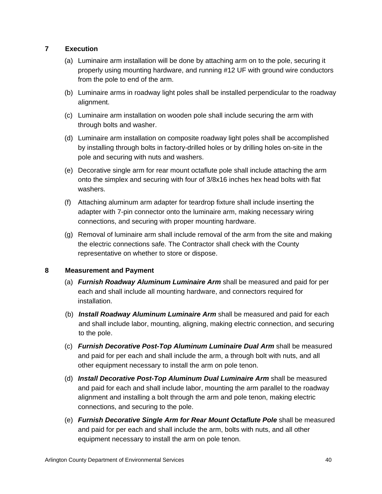## **7 Execution**

- (a) Luminaire arm installation will be done by attaching arm on to the pole, securing it properly using mounting hardware, and running #12 UF with ground wire conductors from the pole to end of the arm.
- (b) Luminaire arms in roadway light poles shall be installed perpendicular to the roadway alignment.
- (c) Luminaire arm installation on wooden pole shall include securing the arm with through bolts and washer.
- (d) Luminaire arm installation on composite roadway light poles shall be accomplished by installing through bolts in factory-drilled holes or by drilling holes on-site in the pole and securing with nuts and washers.
- (e) Decorative single arm for rear mount octaflute pole shall include attaching the arm onto the simplex and securing with four of 3/8x16 inches hex head bolts with flat washers.
- (f) Attaching aluminum arm adapter for teardrop fixture shall include inserting the adapter with 7-pin connector onto the luminaire arm, making necessary wiring connections, and securing with proper mounting hardware.
- (g) Removal of luminaire arm shall include removal of the arm from the site and making the electric connections safe. The Contractor shall check with the County representative on whether to store or dispose.

### **8 Measurement and Payment**

- (a) *Furnish Roadway Aluminum Luminaire Arm* shall be measured and paid for per each and shall include all mounting hardware, and connectors required for installation.
- (b) *Install Roadway Aluminum Luminaire Arm* shall be measured and paid for each and shall include labor, mounting, aligning, making electric connection, and securing to the pole.
- (c) *Furnish Decorative Post-Top Aluminum Luminaire Dual Arm* shall be measured and paid for per each and shall include the arm, a through bolt with nuts, and all other equipment necessary to install the arm on pole tenon.
- (d) *Install Decorative Post-Top Aluminum Dual Luminaire Arm* shall be measured and paid for each and shall include labor, mounting the arm parallel to the roadway alignment and installing a bolt through the arm and pole tenon, making electric connections, and securing to the pole.
- (e) *Furnish Decorative Single Arm for Rear Mount Octaflute Pole* shall be measured and paid for per each and shall include the arm, bolts with nuts, and all other equipment necessary to install the arm on pole tenon.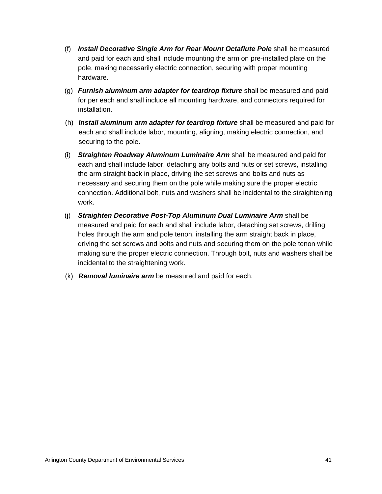- (f) *Install Decorative Single Arm for Rear Mount Octaflute Pole* shall be measured and paid for each and shall include mounting the arm on pre-installed plate on the pole, making necessarily electric connection, securing with proper mounting hardware.
- (g) *Furnish aluminum arm adapter for teardrop fixture* shall be measured and paid for per each and shall include all mounting hardware, and connectors required for installation.
- (h) *Install aluminum arm adapter for teardrop fixture* shall be measured and paid for each and shall include labor, mounting, aligning, making electric connection, and securing to the pole.
- (i) *Straighten Roadway Aluminum Luminaire Arm* shall be measured and paid for each and shall include labor, detaching any bolts and nuts or set screws, installing the arm straight back in place, driving the set screws and bolts and nuts as necessary and securing them on the pole while making sure the proper electric connection. Additional bolt, nuts and washers shall be incidental to the straightening work.
- (j) *Straighten Decorative Post-Top Aluminum Dual Luminaire Arm* shall be measured and paid for each and shall include labor, detaching set screws, drilling holes through the arm and pole tenon, installing the arm straight back in place, driving the set screws and bolts and nuts and securing them on the pole tenon while making sure the proper electric connection. Through bolt, nuts and washers shall be incidental to the straightening work.
- (k) *Removal luminaire arm* be measured and paid for each.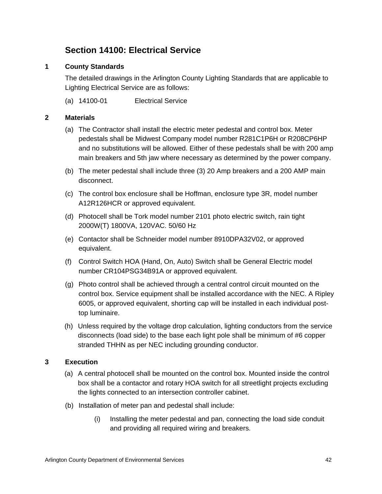# **Section 14100: Electrical Service**

## **1 County Standards**

The detailed drawings in the Arlington County Lighting Standards that are applicable to Lighting Electrical Service are as follows:

(a) 14100-01 Electrical Service

## **2 Materials**

- (a) The Contractor shall install the electric meter pedestal and control box. Meter pedestals shall be Midwest Company model number R281C1P6H or R208CP6HP and no substitutions will be allowed. Either of these pedestals shall be with 200 amp main breakers and 5th jaw where necessary as determined by the power company.
- (b) The meter pedestal shall include three (3) 20 Amp breakers and a 200 AMP main disconnect.
- (c) The control box enclosure shall be Hoffman, enclosure type 3R, model number A12R126HCR or approved equivalent.
- (d) Photocell shall be Tork model number 2101 photo electric switch, rain tight 2000W(T) 1800VA, 120VAC. 50/60 Hz
- (e) Contactor shall be Schneider model number 8910DPA32V02, or approved equivalent.
- (f) Control Switch HOA (Hand, On, Auto) Switch shall be General Electric model number CR104PSG34B91A or approved equivalent.
- (g) Photo control shall be achieved through a central control circuit mounted on the control box. Service equipment shall be installed accordance with the NEC. A Ripley 6005, or approved equivalent, shorting cap will be installed in each individual posttop luminaire.
- (h) Unless required by the voltage drop calculation, lighting conductors from the service disconnects (load side) to the base each light pole shall be minimum of #6 copper stranded THHN as per NEC including grounding conductor.

### **3 Execution**

- (a) A central photocell shall be mounted on the control box. Mounted inside the control box shall be a contactor and rotary HOA switch for all streetlight projects excluding the lights connected to an intersection controller cabinet.
- (b) Installation of meter pan and pedestal shall include:
	- (i) Installing the meter pedestal and pan, connecting the load side conduit and providing all required wiring and breakers.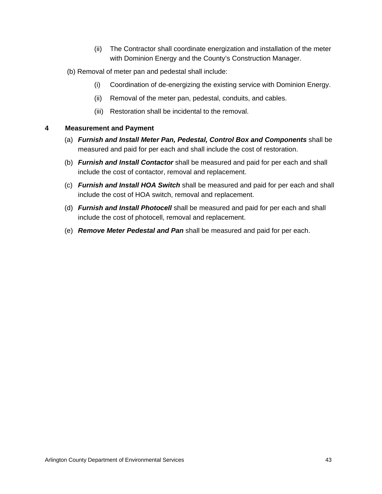- (ii) The Contractor shall coordinate energization and installation of the meter with Dominion Energy and the County's Construction Manager.
- (b) Removal of meter pan and pedestal shall include:
	- (i) Coordination of de-energizing the existing service with Dominion Energy.
	- (ii) Removal of the meter pan, pedestal, conduits, and cables.
	- (iii) Restoration shall be incidental to the removal.

### **4 Measurement and Payment**

- (a) *Furnish and Install Meter Pan, Pedestal, Control Box and Components* shall be measured and paid for per each and shall include the cost of restoration.
- (b) *Furnish and Install Contactor* shall be measured and paid for per each and shall include the cost of contactor, removal and replacement.
- (c) *Furnish and Install HOA Switch* shall be measured and paid for per each and shall include the cost of HOA switch, removal and replacement.
- (d) *Furnish and Install Photocell* shall be measured and paid for per each and shall include the cost of photocell, removal and replacement.
- (e) *Remove Meter Pedestal and Pan* shall be measured and paid for per each.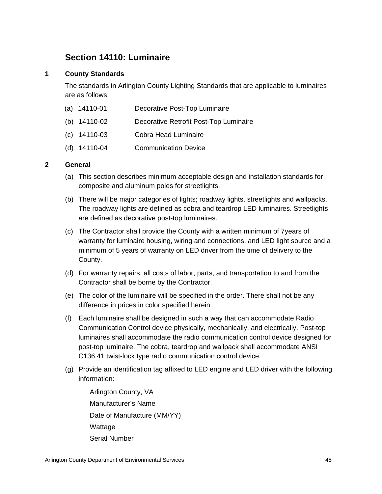## **Section 14110: Luminaire**

## **1 County Standards**

The standards in Arlington County Lighting Standards that are applicable to luminaires are as follows:

- (a) 14110-01 Decorative Post-Top Luminaire
- (b) 14110-02 Decorative Retrofit Post-Top Luminaire
- (c) 14110-03 Cobra Head Luminaire
- (d) 14110-04 Communication Device

## **2 General**

- (a) This section describes minimum acceptable design and installation standards for composite and aluminum poles for streetlights.
- (b) There will be major categories of lights; roadway lights, streetlights and wallpacks. The roadway lights are defined as cobra and teardrop LED luminaires. Streetlights are defined as decorative post-top luminaires.
- (c) The Contractor shall provide the County with a written minimum of 7years of warranty for luminaire housing, wiring and connections, and LED light source and a minimum of 5 years of warranty on LED driver from the time of delivery to the County.
- (d) For warranty repairs, all costs of labor, parts, and transportation to and from the Contractor shall be borne by the Contractor.
- (e) The color of the luminaire will be specified in the order. There shall not be any difference in prices in color specified herein.
- (f) Each luminaire shall be designed in such a way that can accommodate Radio Communication Control device physically, mechanically, and electrically. Post-top luminaires shall accommodate the radio communication control device designed for post-top luminaire. The cobra, teardrop and wallpack shall accommodate ANSI C136.41 twist-lock type radio communication control device.
- (g) Provide an identification tag affixed to LED engine and LED driver with the following information:
	- Arlington County, VA Manufacturer's Name Date of Manufacture (MM/YY) Wattage Serial Number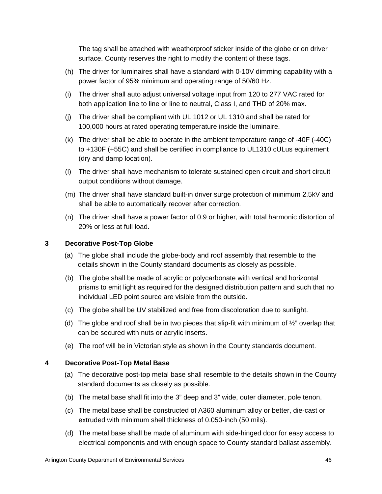The tag shall be attached with weatherproof sticker inside of the globe or on driver surface. County reserves the right to modify the content of these tags.

- (h) The driver for luminaires shall have a standard with 0-10V dimming capability with a power factor of 95% minimum and operating range of 50/60 Hz.
- (i) The driver shall auto adjust universal voltage input from 120 to 277 VAC rated for both application line to line or line to neutral, Class I, and THD of 20% max.
- (j) The driver shall be compliant with UL 1012 or UL 1310 and shall be rated for 100,000 hours at rated operating temperature inside the luminaire.
- (k) The driver shall be able to operate in the ambient temperature range of -40F (-40C) to +130F (+55C) and shall be certified in compliance to UL1310 cULus equirement (dry and damp location).
- (l) The driver shall have mechanism to tolerate sustained open circuit and short circuit output conditions without damage.
- (m) The driver shall have standard built-in driver surge protection of minimum 2.5kV and shall be able to automatically recover after correction.
- (n) The driver shall have a power factor of 0.9 or higher, with total harmonic distortion of 20% or less at full load.

## **3 Decorative Post-Top Globe**

- (a) The globe shall include the globe-body and roof assembly that resemble to the details shown in the County standard documents as closely as possible.
- (b) The globe shall be made of acrylic or polycarbonate with vertical and horizontal prisms to emit light as required for the designed distribution pattern and such that no individual LED point source are visible from the outside.
- (c) The globe shall be UV stabilized and free from discoloration due to sunlight.
- (d) The globe and roof shall be in two pieces that slip-fit with minimum of  $\frac{1}{2}$ " overlap that can be secured with nuts or acrylic inserts.
- (e) The roof will be in Victorian style as shown in the County standards document.

### **4 Decorative Post-Top Metal Base**

- (a) The decorative post-top metal base shall resemble to the details shown in the County standard documents as closely as possible.
- (b) The metal base shall fit into the 3" deep and 3" wide, outer diameter, pole tenon.
- (c) The metal base shall be constructed of A360 aluminum alloy or better, die-cast or extruded with minimum shell thickness of 0.050-inch (50 mils).
- (d) The metal base shall be made of aluminum with side-hinged door for easy access to electrical components and with enough space to County standard ballast assembly.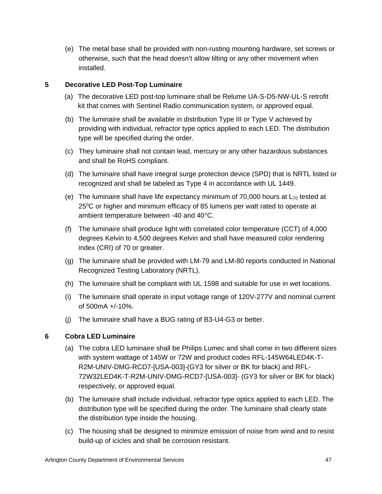(e) The metal base shall be provided with non-rusting mounting hardware, set screws or otherwise, such that the head doesn't allow tilting or any other movement when installed.

## **5 Decorative LED Post-Top Luminaire**

- (a) The decorative LED post-top luminaire shall be Relume UA-S-D5-NW-UL-S retrofit kit that comes with Sentinel Radio communication system, or approved equal.
- (b) The luminaire shall be available in distribution Type III or Type V achieved by providing with individual, refractor type optics applied to each LED. The distribution type will be specified during the order.
- (c) They luminaire shall not contain lead, mercury or any other hazardous substances and shall be RoHS compliant.
- (d) The luminaire shall have integral surge protection device (SPD) that is NRTL listed or recognized and shall be labeled as Type 4 in accordance with UL 1449.
- (e) The luminaire shall have life expectancy minimum of 70,000 hours at  $L_{70}$  tested at 25<sup>o</sup>C or higher and minimum efficacy of 85 lumens per watt rated to operate at ambient temperature between -40 and 40°C.
- (f) The luminaire shall produce light with correlated color temperature (CCT) of 4,000 degrees Kelvin to 4,500 degrees Kelvin and shall have measured color rendering index (CRI) of 70 or greater.
- (g) The luminaire shall be provided with LM-79 and LM-80 reports conducted in National Recognized Testing Laboratory (NRTL).
- (h) The luminaire shall be compliant with UL 1598 and suitable for use in wet locations.
- (i) The luminaire shall operate in input voltage range of 120V-277V and nominal current of 500mA +/-10%.
- (j) The luminaire shall have a BUG rating of B3-U4-G3 or better.

## **6 Cobra LED Luminaire**

- (a) The cobra LED luminaire shall be Philips Lumec and shall come in two different sizes with system wattage of 145W or 72W and product codes RFL-145W64LED4K-T-R2M-UNIV-DMG-RCD7-[USA-003]-(GY3 for silver or BK for black) and RFL-72W32LED4K-T-R2M-UNIV-DMG-RCD7-[USA-003]- (GY3 for silver or BK for black) respectively, or approved equal.
- (b) The luminaire shall include individual, refractor type optics applied to each LED. The distribution type will be specified during the order. The luminaire shall clearly state the distribution type inside the housing.
- (c) The housing shall be designed to minimize emission of noise from wind and to resist build-up of icicles and shall be corrosion resistant.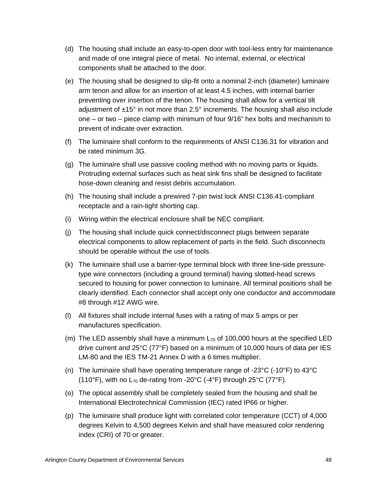- (d) The housing shall include an easy-to-open door with tool-less entry for maintenance and made of one integral piece of metal. No internal, external, or electrical components shall be attached to the door.
- (e) The housing shall be designed to slip-fit onto a nominal 2-inch (diameter) luminaire arm tenon and allow for an insertion of at least 4.5 inches, with internal barrier preventing over insertion of the tenon. The housing shall allow for a vertical tilt adjustment of ±15° in not more than 2.5° increments. The housing shall also include one – or two – piece clamp with minimum of four 9/16" hex bolts and mechanism to prevent of indicate over extraction.
- (f) The luminaire shall conform to the requirements of ANSI C136.31 for vibration and be rated minimum 3G.
- (g) The luminaire shall use passive cooling method with no moving parts or liquids. Protruding external surfaces such as heat sink fins shall be designed to facilitate hose-down cleaning and resist debris accumulation.
- (h) The housing shall include a prewired 7-pin twist lock ANSI C136.41-compliant receptacle and a rain-tight shorting cap.
- (i) Wiring within the electrical enclosure shall be NEC compliant.
- (j) The housing shall include quick connect/disconnect plugs between separate electrical components to allow replacement of parts in the field. Such disconnects should be operable without the use of tools.
- (k) The luminaire shall use a barrier-type terminal block with three line-side pressuretype wire connectors (including a ground terminal) having slotted-head screws secured to housing for power connection to luminaire. All terminal positions shall be clearly identified. Each connector shall accept only one conductor and accommodate #8 through #12 AWG wire.
- (l) All fixtures shall include internal fuses with a rating of max 5 amps or per manufactures specification.
- (m) The LED assembly shall have a minimum  $L_{70}$  of 100,000 hours at the specified LED drive current and 25°C (77°F) based on a minimum of 10,000 hours of data per IES LM-80 and the IES TM-21 Annex D with a 6 times multiplier.
- (n) The luminaire shall have operating temperature range of -23°C (-10°F) to 43°C (110°F), with no  $L_{70}$  de-rating from -20°C (-4°F) through 25°C (77°F).
- (o) The optical assembly shall be completely sealed from the housing and shall be International Electrotechnical Commission (IEC) rated IP66 or higher.
- (p) The luminaire shall produce light with correlated color temperature (CCT) of 4,000 degrees Kelvin to 4,500 degrees Kelvin and shall have measured color rendering index (CRI) of 70 or greater.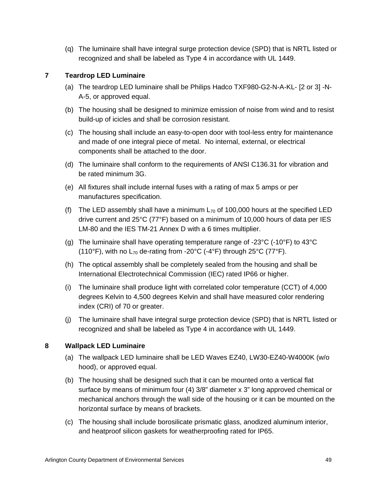(q) The luminaire shall have integral surge protection device (SPD) that is NRTL listed or recognized and shall be labeled as Type 4 in accordance with UL 1449.

# **7 Teardrop LED Luminaire**

- (a) The teardrop LED luminaire shall be Philips Hadco TXF980-G2-N-A-KL- [2 or 3] -N-A-5, or approved equal.
- (b) The housing shall be designed to minimize emission of noise from wind and to resist build-up of icicles and shall be corrosion resistant.
- (c) The housing shall include an easy-to-open door with tool-less entry for maintenance and made of one integral piece of metal. No internal, external, or electrical components shall be attached to the door.
- (d) The luminaire shall conform to the requirements of ANSI C136.31 for vibration and be rated minimum 3G.
- (e) All fixtures shall include internal fuses with a rating of max 5 amps or per manufactures specification.
- (f) The LED assembly shall have a minimum  $L_{70}$  of 100,000 hours at the specified LED drive current and 25°C (77°F) based on a minimum of 10,000 hours of data per IES LM-80 and the IES TM-21 Annex D with a 6 times multiplier.
- (g) The luminaire shall have operating temperature range of -23 $^{\circ}$ C (-10 $^{\circ}$ F) to 43 $^{\circ}$ C (110°F), with no  $L_{70}$  de-rating from -20°C (-4°F) through 25°C (77°F).
- (h) The optical assembly shall be completely sealed from the housing and shall be International Electrotechnical Commission (IEC) rated IP66 or higher.
- (i) The luminaire shall produce light with correlated color temperature (CCT) of 4,000 degrees Kelvin to 4,500 degrees Kelvin and shall have measured color rendering index (CRI) of 70 or greater.
- (j) The luminaire shall have integral surge protection device (SPD) that is NRTL listed or recognized and shall be labeled as Type 4 in accordance with UL 1449.

## **8 Wallpack LED Luminaire**

- (a) The wallpack LED luminaire shall be LED Waves EZ40, LW30-EZ40-W4000K (w/o hood), or approved equal.
- (b) The housing shall be designed such that it can be mounted onto a vertical flat surface by means of minimum four (4) 3/8" diameter x 3" long approved chemical or mechanical anchors through the wall side of the housing or it can be mounted on the horizontal surface by means of brackets.
- (c) The housing shall include borosilicate prismatic glass, anodized aluminum interior, and heatproof silicon gaskets for weatherproofing rated for IP65.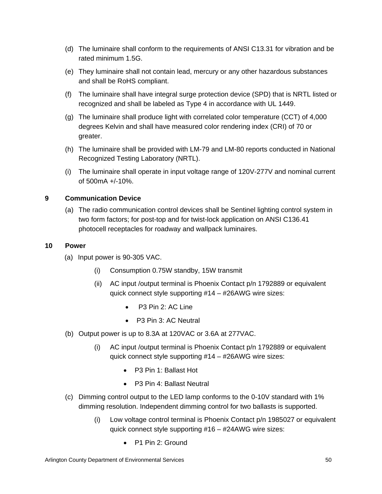- (d) The luminaire shall conform to the requirements of ANSI C13.31 for vibration and be rated minimum 1.5G.
- (e) They luminaire shall not contain lead, mercury or any other hazardous substances and shall be RoHS compliant.
- (f) The luminaire shall have integral surge protection device (SPD) that is NRTL listed or recognized and shall be labeled as Type 4 in accordance with UL 1449.
- (g) The luminaire shall produce light with correlated color temperature (CCT) of 4,000 degrees Kelvin and shall have measured color rendering index (CRI) of 70 or greater.
- (h) The luminaire shall be provided with LM-79 and LM-80 reports conducted in National Recognized Testing Laboratory (NRTL).
- (i) The luminaire shall operate in input voltage range of 120V-277V and nominal current of 500mA +/-10%.

## **9 Communication Device**

(a) The radio communication control devices shall be Sentinel lighting control system in two form factors; for post-top and for twist-lock application on ANSI C136.41 photocell receptacles for roadway and wallpack luminaires.

## **10 Power**

- (a) Input power is 90-305 VAC.
	- (i) Consumption 0.75W standby, 15W transmit
	- (ii) AC input /output terminal is Phoenix Contact p/n 1792889 or equivalent quick connect style supporting #14 – #26AWG wire sizes:
		- P3 Pin 2: AC Line
		- P3 Pin 3: AC Neutral
- (b) Output power is up to 8.3A at 120VAC or 3.6A at 277VAC.
	- (i) AC input /output terminal is Phoenix Contact p/n 1792889 or equivalent quick connect style supporting #14 – #26AWG wire sizes:
		- P3 Pin 1: Ballast Hot
		- P3 Pin 4: Ballast Neutral
- (c) Dimming control output to the LED lamp conforms to the 0-10V standard with 1% dimming resolution. Independent dimming control for two ballasts is supported.
	- (i) Low voltage control terminal is Phoenix Contact p/n 1985027 or equivalent quick connect style supporting #16 – #24AWG wire sizes:
		- P1 Pin 2: Ground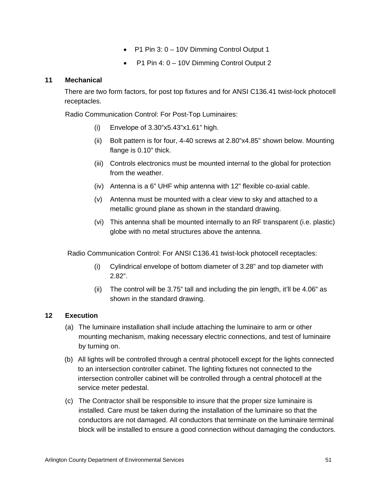- P1 Pin 3: 0 10V Dimming Control Output 1
- P1 Pin 4: 0 10V Dimming Control Output 2

## **11 Mechanical**

There are two form factors, for post top fixtures and for ANSI C136.41 twist-lock photocell receptacles.

Radio Communication Control: For Post-Top Luminaires:

- (i) Envelope of 3.30"x5.43"x1.61" high.
- (ii) Bolt pattern is for four, 4-40 screws at 2.80"x4.85" shown below. Mounting flange is 0.10" thick.
- (iii) Controls electronics must be mounted internal to the global for protection from the weather.
- (iv) Antenna is a 6" UHF whip antenna with 12" flexible co-axial cable.
- (v) Antenna must be mounted with a clear view to sky and attached to a metallic ground plane as shown in the standard drawing.
- (vi) This antenna shall be mounted internally to an RF transparent (i.e. plastic) globe with no metal structures above the antenna.

Radio Communication Control: For ANSI C136.41 twist-lock photocell receptacles:

- (i) Cylindrical envelope of bottom diameter of 3.28" and top diameter with 2.82".
- (ii) The control will be 3.75" tall and including the pin length, it'll be 4.06" as shown in the standard drawing.

## **12 Execution**

- (a) The luminaire installation shall include attaching the luminaire to arm or other mounting mechanism, making necessary electric connections, and test of luminaire by turning on.
- (b) All lights will be controlled through a central photocell except for the lights connected to an intersection controller cabinet. The lighting fixtures not connected to the intersection controller cabinet will be controlled through a central photocell at the service meter pedestal.
- (c) The Contractor shall be responsible to insure that the proper size luminaire is installed. Care must be taken during the installation of the luminaire so that the conductors are not damaged. All conductors that terminate on the luminaire terminal block will be installed to ensure a good connection without damaging the conductors.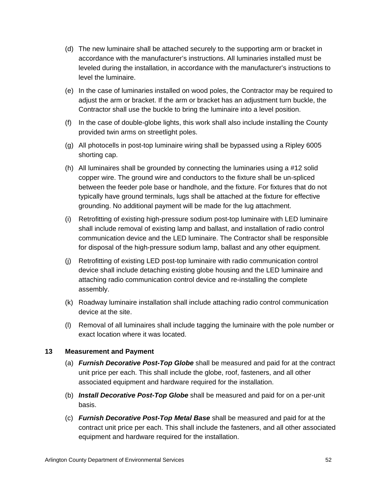- (d) The new luminaire shall be attached securely to the supporting arm or bracket in accordance with the manufacturer's instructions. All luminaries installed must be leveled during the installation, in accordance with the manufacturer's instructions to level the luminaire.
- (e) In the case of luminaries installed on wood poles, the Contractor may be required to adjust the arm or bracket. If the arm or bracket has an adjustment turn buckle, the Contractor shall use the buckle to bring the luminaire into a level position.
- (f) In the case of double-globe lights, this work shall also include installing the County provided twin arms on streetlight poles.
- (g) All photocells in post-top luminaire wiring shall be bypassed using a Ripley 6005 shorting cap.
- (h) All luminaires shall be grounded by connecting the luminaries using a #12 solid copper wire. The ground wire and conductors to the fixture shall be un-spliced between the feeder pole base or handhole, and the fixture. For fixtures that do not typically have ground terminals, lugs shall be attached at the fixture for effective grounding. No additional payment will be made for the lug attachment.
- (i) Retrofitting of existing high-pressure sodium post-top luminaire with LED luminaire shall include removal of existing lamp and ballast, and installation of radio control communication device and the LED luminaire. The Contractor shall be responsible for disposal of the high-pressure sodium lamp, ballast and any other equipment.
- (j) Retrofitting of existing LED post-top luminaire with radio communication control device shall include detaching existing globe housing and the LED luminaire and attaching radio communication control device and re-installing the complete assembly.
- (k) Roadway luminaire installation shall include attaching radio control communication device at the site.
- (l) Removal of all luminaires shall include tagging the luminaire with the pole number or exact location where it was located.

### **13 Measurement and Payment**

- (a) *Furnish Decorative Post-Top Globe* shall be measured and paid for at the contract unit price per each. This shall include the globe, roof, fasteners, and all other associated equipment and hardware required for the installation.
- (b) *Install Decorative Post-Top Globe* shall be measured and paid for on a per-unit basis.
- (c) *Furnish Decorative Post-Top Metal Base* shall be measured and paid for at the contract unit price per each. This shall include the fasteners, and all other associated equipment and hardware required for the installation.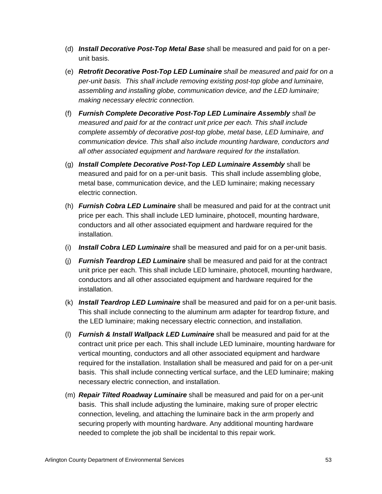- (d) *Install Decorative Post-Top Metal Base* shall be measured and paid for on a perunit basis.
- (e) *Retrofit Decorative Post-Top LED Luminaire shall be measured and paid for on a per-unit basis. This shall include removing existing post-top globe and luminaire, assembling and installing globe, communication device, and the LED luminaire; making necessary electric connection.*
- (f) *Furnish Complete Decorative Post-Top LED Luminaire Assembly shall be measured and paid for at the contract unit price per each. This shall include complete assembly of decorative post-top globe, metal base, LED luminaire, and communication device. This shall also include mounting hardware, conductors and all other associated equipment and hardware required for the installation.*
- (g) *Install Complete Decorative Post-Top LED Luminaire Assembly* shall be measured and paid for on a per-unit basis. This shall include assembling globe, metal base, communication device, and the LED luminaire; making necessary electric connection.
- (h) *Furnish Cobra LED Luminaire* shall be measured and paid for at the contract unit price per each. This shall include LED luminaire, photocell, mounting hardware, conductors and all other associated equipment and hardware required for the installation.
- (i) *Install Cobra LED Luminaire* shall be measured and paid for on a per-unit basis.
- (j) *Furnish Teardrop LED Luminaire* shall be measured and paid for at the contract unit price per each. This shall include LED luminaire, photocell, mounting hardware, conductors and all other associated equipment and hardware required for the installation.
- (k) *Install Teardrop LED Luminaire* shall be measured and paid for on a per-unit basis. This shall include connecting to the aluminum arm adapter for teardrop fixture, and the LED luminaire; making necessary electric connection, and installation.
- (l) *Furnish & Install Wallpack LED Luminaire* shall be measured and paid for at the contract unit price per each. This shall include LED luminaire, mounting hardware for vertical mounting, conductors and all other associated equipment and hardware required for the installation. Installation shall be measured and paid for on a per-unit basis. This shall include connecting vertical surface, and the LED luminaire; making necessary electric connection, and installation.
- (m) *Repair Tilted Roadway Luminaire* shall be measured and paid for on a per-unit basis. This shall include adjusting the luminaire, making sure of proper electric connection, leveling, and attaching the luminaire back in the arm properly and securing properly with mounting hardware. Any additional mounting hardware needed to complete the job shall be incidental to this repair work.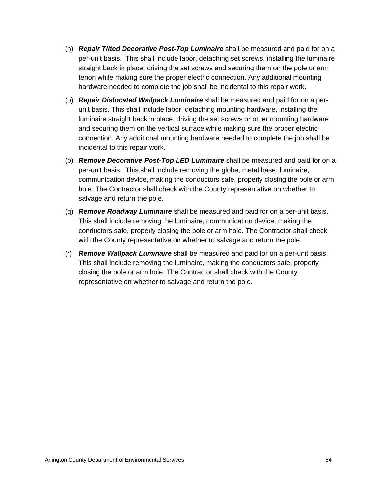- (n) *Repair Tilted Decorative Post-Top Luminaire* shall be measured and paid for on a per-unit basis. This shall include labor, detaching set screws, installing the luminaire straight back in place, driving the set screws and securing them on the pole or arm tenon while making sure the proper electric connection. Any additional mounting hardware needed to complete the job shall be incidental to this repair work.
- (o) *Repair Dislocated Wallpack Luminaire* shall be measured and paid for on a perunit basis. This shall include labor, detaching mounting hardware, installing the luminaire straight back in place, driving the set screws or other mounting hardware and securing them on the vertical surface while making sure the proper electric connection. Any additional mounting hardware needed to complete the job shall be incidental to this repair work.
- (p) *Remove Decorative Post-Top LED Luminaire* shall be measured and paid for on a per-unit basis. This shall include removing the globe, metal base, luminaire, communication device, making the conductors safe, properly closing the pole or arm hole. The Contractor shall check with the County representative on whether to salvage and return the pole.
- (q) *Remove Roadway Luminaire* shall be measured and paid for on a per-unit basis. This shall include removing the luminaire, communication device, making the conductors safe, properly closing the pole or arm hole. The Contractor shall check with the County representative on whether to salvage and return the pole.
- (r) *Remove Wallpack Luminaire* shall be measured and paid for on a per-unit basis. This shall include removing the luminaire, making the conductors safe, properly closing the pole or arm hole. The Contractor shall check with the County representative on whether to salvage and return the pole.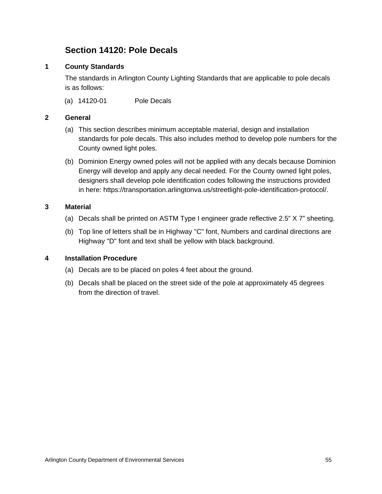# **Section 14120: Pole Decals**

## **1 County Standards**

The standards in Arlington County Lighting Standards that are applicable to pole decals is as follows:

(a) 14120-01 Pole Decals

### **2 General**

- (a) This section describes minimum acceptable material, design and installation standards for pole decals. This also includes method to develop pole numbers for the County owned light poles.
- (b) Dominion Energy owned poles will not be applied with any decals because Dominion Energy will develop and apply any decal needed. For the County owned light poles, designers shall develop pole identification codes following the instructions provided in here: https://transportation.arlingtonva.us/streetlight-pole-identification-protocol/.

## **3 Material**

- (a) Decals shall be printed on ASTM Type I engineer grade reflective 2.5" X 7" sheeting.
- (b) Top line of letters shall be in Highway "C" font, Numbers and cardinal directions are Highway "D" font and text shall be yellow with black background.

### **4 Installation Procedure**

- (a) Decals are to be placed on poles 4 feet about the ground.
- (b) Decals shall be placed on the street side of the pole at approximately 45 degrees from the direction of travel.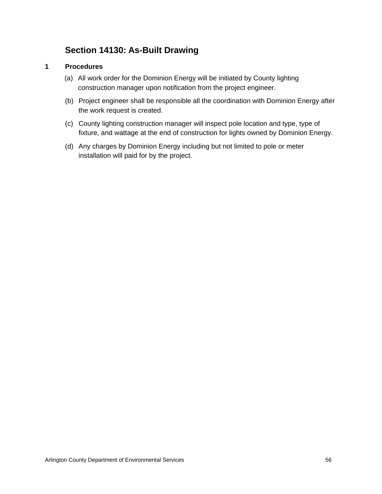# **Section 14130: As-Built Drawing**

## **1 Procedures**

- (a) All work order for the Dominion Energy will be initiated by County lighting construction manager upon notification from the project engineer.
- (b) Project engineer shall be responsible all the coordination with Dominion Energy after the work request is created.
- (c) County lighting construction manager will inspect pole location and type, type of fixture, and wattage at the end of construction for lights owned by Dominion Energy.
- (d) Any charges by Dominion Energy including but not limited to pole or meter installation will paid for by the project.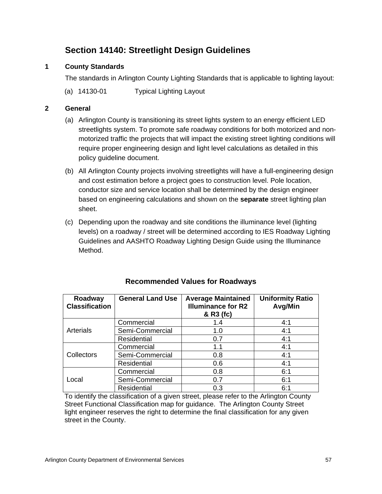# **Section 14140: Streetlight Design Guidelines**

## **1 County Standards**

The standards in Arlington County Lighting Standards that is applicable to lighting layout:

(a) 14130-01 Typical Lighting Layout

## **2 General**

- (a) Arlington County is transitioning its street lights system to an energy efficient LED streetlights system. To promote safe roadway conditions for both motorized and nonmotorized traffic the projects that will impact the existing street lighting conditions will require proper engineering design and light level calculations as detailed in this policy guideline document.
- (b) All Arlington County projects involving streetlights will have a full-engineering design and cost estimation before a project goes to construction level. Pole location, conductor size and service location shall be determined by the design engineer based on engineering calculations and shown on the **separate** street lighting plan sheet.
- (c) Depending upon the roadway and site conditions the illuminance level (lighting levels) on a roadway / street will be determined according to IES Roadway Lighting Guidelines and AASHTO Roadway Lighting Design Guide using the Illuminance Method.

| Roadway<br><b>Classification</b> | <b>General Land Use</b> | <b>Average Maintained</b><br><b>Illuminance for R2</b><br>& R3 (fc) | <b>Uniformity Ratio</b><br>Avg/Min |
|----------------------------------|-------------------------|---------------------------------------------------------------------|------------------------------------|
| Arterials                        | Commercial              | 1.4                                                                 | 4:1                                |
|                                  | Semi-Commercial         | 1.0                                                                 | 4:1                                |
|                                  | Residential             | 0.7                                                                 | 4:1                                |
| Collectors                       | Commercial              | 1.1                                                                 | 4:1                                |
|                                  | Semi-Commercial         | 0.8                                                                 | 4:1                                |
|                                  | <b>Residential</b>      | 0.6                                                                 | 4:1                                |
| Local                            | Commercial              | 0.8                                                                 | 6:1                                |
|                                  | Semi-Commercial         | 0.7                                                                 | 6:1                                |
|                                  | Residential             | 0.3                                                                 | 6:1                                |

## **Recommended Values for Roadways**

To identify the classification of a given street, please refer to the Arlington County Street Functional Classification map for guidance. The Arlington County Street light engineer reserves the right to determine the final classification for any given street in the County.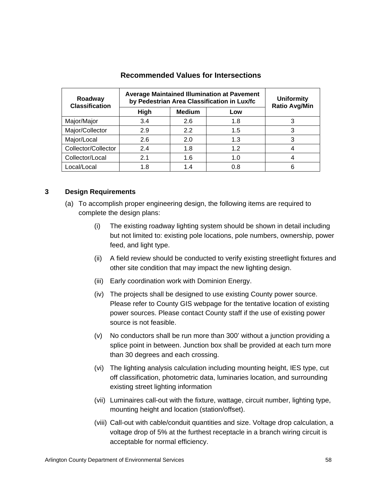| Roadway<br><b>Classification</b> | <b>Average Maintained Illumination at Pavement</b><br>by Pedestrian Area Classification in Lux/fc | <b>Uniformity</b><br><b>Ratio Avg/Min</b> |     |   |
|----------------------------------|---------------------------------------------------------------------------------------------------|-------------------------------------------|-----|---|
|                                  | High                                                                                              | <b>Medium</b>                             | Low |   |
| Major/Major                      | 3.4                                                                                               | 2.6                                       | 1.8 |   |
| Major/Collector                  | 2.9                                                                                               | 2.2                                       | 1.5 |   |
| Major/Local                      | 2.6                                                                                               | 2.0                                       | 1.3 | 3 |
| Collector/Collector              | 2.4                                                                                               | 1.8                                       | 1.2 |   |
| Collector/Local                  | 2.1                                                                                               | 1.6                                       | 1.0 |   |
| Local/Local                      | 1.8                                                                                               | 1.4                                       | 0.8 |   |

#### **Recommended Values for Intersections**

#### **3 Design Requirements**

- (a) To accomplish proper engineering design, the following items are required to complete the design plans:
	- (i) The existing roadway lighting system should be shown in detail including but not limited to: existing pole locations, pole numbers, ownership, power feed, and light type.
	- (ii) A field review should be conducted to verify existing streetlight fixtures and other site condition that may impact the new lighting design.
	- (iii) Early coordination work with Dominion Energy.
	- (iv) The projects shall be designed to use existing County power source. Please refer to County GIS webpage for the tentative location of existing power sources. Please contact County staff if the use of existing power source is not feasible.
	- (v) No conductors shall be run more than 300' without a junction providing a splice point in between. Junction box shall be provided at each turn more than 30 degrees and each crossing.
	- (vi) The lighting analysis calculation including mounting height, IES type, cut off classification, photometric data, luminaries location, and surrounding existing street lighting information
	- (vii) Luminaires call-out with the fixture, wattage, circuit number, lighting type, mounting height and location (station/offset).
	- (viii) Call-out with cable/conduit quantities and size. Voltage drop calculation, a voltage drop of 5% at the furthest receptacle in a branch wiring circuit is acceptable for normal efficiency.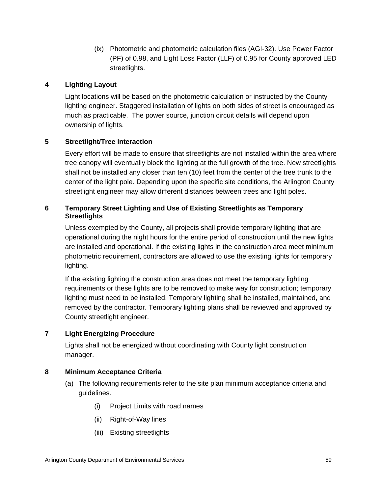(ix) Photometric and photometric calculation files (AGI-32). Use Power Factor (PF) of 0.98, and Light Loss Factor (LLF) of 0.95 for County approved LED streetlights.

## **4 Lighting Layout**

Light locations will be based on the photometric calculation or instructed by the County lighting engineer. Staggered installation of lights on both sides of street is encouraged as much as practicable. The power source, junction circuit details will depend upon ownership of lights.

## **5 Streetlight/Tree interaction**

Every effort will be made to ensure that streetlights are not installed within the area where tree canopy will eventually block the lighting at the full growth of the tree. New streetlights shall not be installed any closer than ten (10) feet from the center of the tree trunk to the center of the light pole. Depending upon the specific site conditions, the Arlington County streetlight engineer may allow different distances between trees and light poles.

## **6 Temporary Street Lighting and Use of Existing Streetlights as Temporary Streetlights**

Unless exempted by the County, all projects shall provide temporary lighting that are operational during the night hours for the entire period of construction until the new lights are installed and operational. If the existing lights in the construction area meet minimum photometric requirement, contractors are allowed to use the existing lights for temporary lighting.

If the existing lighting the construction area does not meet the temporary lighting requirements or these lights are to be removed to make way for construction; temporary lighting must need to be installed. Temporary lighting shall be installed, maintained, and removed by the contractor. Temporary lighting plans shall be reviewed and approved by County streetlight engineer.

## **7 Light Energizing Procedure**

Lights shall not be energized without coordinating with County light construction manager.

## **8 Minimum Acceptance Criteria**

- (a) The following requirements refer to the site plan minimum acceptance criteria and guidelines.
	- (i) Project Limits with road names
	- (ii) Right-of-Way lines
	- (iii) Existing streetlights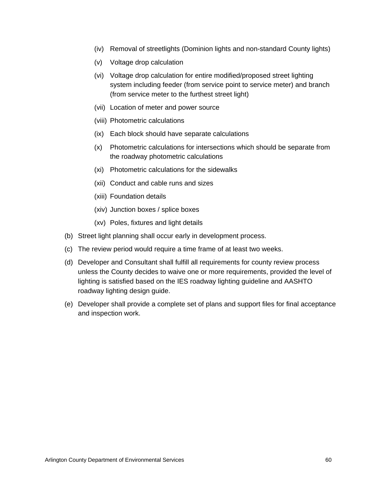- (iv) Removal of streetlights (Dominion lights and non-standard County lights)
- (v) Voltage drop calculation
- (vi) Voltage drop calculation for entire modified/proposed street lighting system including feeder (from service point to service meter) and branch (from service meter to the furthest street light)
- (vii) Location of meter and power source
- (viii) Photometric calculations
- (ix) Each block should have separate calculations
- (x) Photometric calculations for intersections which should be separate from the roadway photometric calculations
- (xi) Photometric calculations for the sidewalks
- (xii) Conduct and cable runs and sizes
- (xiii) Foundation details
- (xiv) Junction boxes / splice boxes
- (xv) Poles, fixtures and light details
- (b) Street light planning shall occur early in development process.
- (c) The review period would require a time frame of at least two weeks.
- (d) Developer and Consultant shall fulfill all requirements for county review process unless the County decides to waive one or more requirements, provided the level of lighting is satisfied based on the IES roadway lighting guideline and AASHTO roadway lighting design guide.
- (e) Developer shall provide a complete set of plans and support files for final acceptance and inspection work.